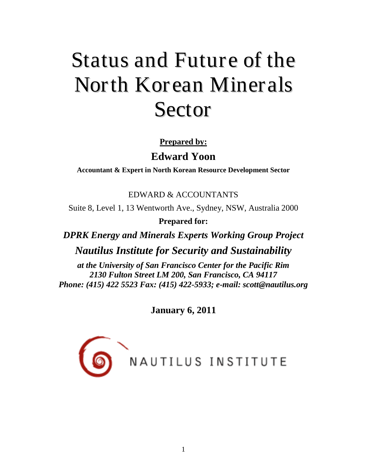# Status and Future of the North Korean Miner als Sector

# **Prepared by:**

# **Edward Yoon**

**Accountant & Expert in North Korean Resource Development Sector** 

EDWARD & ACCOUNTANTS

Suite 8, Level 1, 13 Wentworth Ave., Sydney, NSW, Australia 2000

**Prepared for:**

*DPRK Energy and Minerals Experts Working Group Project*

*Nautilus Institute for Security and Sustainability*

*at the University of San Francisco Center for the Pacific Rim 2130 Fulton Street LM 200, San Francisco, CA 94117 Phone: (415) 422 5523 Fax: (415) 422-5933; e-mail: scott@nautilus.org*

**January 6, 2011**

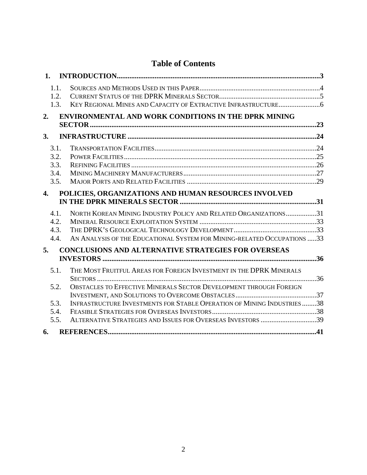# **Table of Contents**

| 1.                                                                                                                                                                                                                                           |     |
|----------------------------------------------------------------------------------------------------------------------------------------------------------------------------------------------------------------------------------------------|-----|
| 1.1.<br>1.2.<br>1.3.                                                                                                                                                                                                                         |     |
| <b>ENVIRONMENTAL AND WORK CONDITIONS IN THE DPRK MINING</b><br>2.                                                                                                                                                                            | .23 |
| 3.                                                                                                                                                                                                                                           |     |
| 3.1.<br>3.2.<br>3.3.<br>3.4.<br>3.5.                                                                                                                                                                                                         |     |
| POLICIES, ORGANIZATIONS AND HUMAN RESOURCES INVOLVED<br>4.                                                                                                                                                                                   |     |
| NORTH KOREAN MINING INDUSTRY POLICY AND RELATED ORGANIZATIONS31<br>4.1.<br>4.2.<br>4.3.<br>AN ANALYSIS OF THE EDUCATIONAL SYSTEM FOR MINING-RELATED OCCUPATIONS 33<br>4.4.                                                                   |     |
| <b>CONCLUSIONS AND ALTERNATIVE STRATEGIES FOR OVERSEAS</b><br>5.                                                                                                                                                                             |     |
| THE MOST FRUITFUL AREAS FOR FOREIGN INVESTMENT IN THE DPRK MINERALS<br>5.1.<br>5.2.<br>OBSTACLES TO EFFECTIVE MINERALS SECTOR DEVELOPMENT THROUGH FOREIGN<br>INFRASTRUCTURE INVESTMENTS FOR STABLE OPERATION OF MINING INDUSTRIES 38<br>5.3. |     |
| 5.4.<br>ALTERNATIVE STRATEGIES AND ISSUES FOR OVERSEAS INVESTORS 39<br>5.5.<br>6.                                                                                                                                                            |     |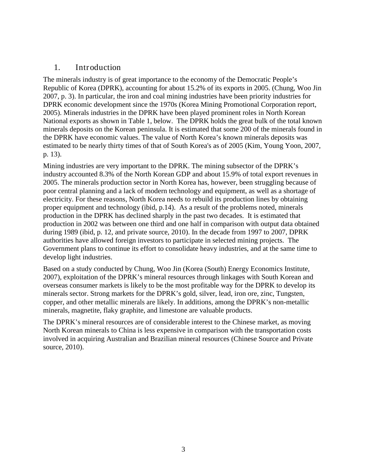## <span id="page-2-0"></span>1. Introduction

The minerals industry is of great importance to the economy of the Democratic People's Republic of Korea (DPRK), accounting for about 15.2% of its exports in 2005. (Chung, Woo Jin 2007, p. 3). In particular, the iron and coal mining industries have been priority industries for DPRK economic development since the 1970s (Korea Mining Promotional Corporation report, 2005). Minerals industries in the DPRK have been played prominent roles in North Korean National exports as shown in Table 1, below. The DPRK holds the great bulk of the total known minerals deposits on the Korean peninsula. It is estimated that some 200 of the minerals found in the DPRK have economic values. The value of North Korea's known minerals deposits was estimated to be nearly thirty times of that of South Korea's as of 2005 (Kim, Young Yoon, 2007, p. 13).

Mining industries are very important to the DPRK. The mining subsector of the DPRK's industry accounted 8.3% of the North Korean GDP and about 15.9% of total export revenues in 2005. The minerals production sector in North Korea has, however, been struggling because of poor central planning and a lack of modern technology and equipment, as well as a shortage of electricity. For these reasons, North Korea needs to rebuild its production lines by obtaining proper equipment and technology (ibid, p.14). As a result of the problems noted, minerals production in the DPRK has declined sharply in the past two decades. It is estimated that production in 2002 was between one third and one half in comparison with output data obtained during 1989 (ibid, p. 12, and private source, 2010). In the decade from 1997 to 2007, DPRK authorities have allowed foreign investors to participate in selected mining projects. The Government plans to continue its effort to consolidate heavy industries, and at the same time to develop light industries.

Based on a study conducted by Chung, Woo Jin (Korea (South) Energy Economics Institute, 2007), exploitation of the DPRK's mineral resources through linkages with South Korean and overseas consumer markets is likely to be the most profitable way for the DPRK to develop its minerals sector. Strong markets for the DPRK's gold, silver, lead, iron ore, zinc, Tungsten, copper, and other metallic minerals are likely. In additions, among the DPRK's non-metallic minerals, magnetite, flaky graphite, and limestone are valuable products.

The DPRK's mineral resources are of considerable interest to the Chinese market, as moving North Korean minerals to China is less expensive in comparison with the transportation costs involved in acquiring Australian and Brazilian mineral resources (Chinese Source and Private source, 2010).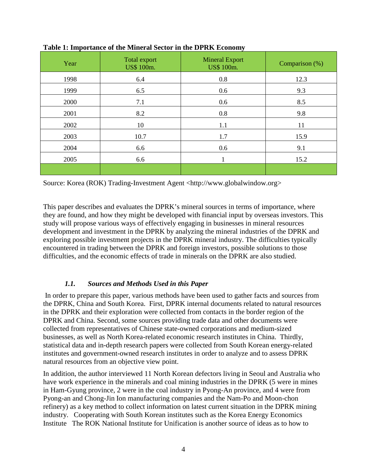| Year | Total export<br>US\$ 100m. | <b>Mineral Export</b><br>US\$ 100m. | Comparison (%) |
|------|----------------------------|-------------------------------------|----------------|
| 1998 | 6.4                        | 0.8                                 | 12.3           |
| 1999 | 6.5                        | 0.6                                 | 9.3            |
| 2000 | 7.1                        | 0.6                                 | 8.5            |
| 2001 | 8.2                        | 0.8                                 | 9.8            |
| 2002 | 10                         | 1.1                                 | 11             |
| 2003 | 10.7                       | 1.7                                 | 15.9           |
| 2004 | 6.6                        | 0.6                                 | 9.1            |
| 2005 | 6.6                        |                                     | 15.2           |
|      |                            |                                     |                |

**Table 1: Importance of the Mineral Sector in the DPRK Economy**

Source: Korea (ROK) Trading-Investment Agent <http://www.globalwindow.org>

This paper describes and evaluates the DPRK's mineral sources in terms of importance, where they are found, and how they might be developed with financial input by overseas investors. This study will propose various ways of effectively engaging in businesses in mineral resources development and investment in the DPRK by analyzing the mineral industries of the DPRK and exploring possible investment projects in the DPRK mineral industry. The difficulties typically encountered in trading between the DPRK and foreign investors, possible solutions to those difficulties, and the economic effects of trade in minerals on the DPRK are also studied.

#### *1.1. Sources and Methods Used in this Paper*

<span id="page-3-0"></span>In order to prepare this paper, various methods have been used to gather facts and sources from the DPRK, China and South Korea. First, DPRK internal documents related to natural resources in the DPRK and their exploration were collected from contacts in the border region of the DPRK and China. Second, some sources providing trade data and other documents were collected from representatives of Chinese state-owned corporations and medium-sized businesses, as well as North Korea-related economic research institutes in China. Thirdly, statistical data and in-depth research papers were collected from South Korean energy-related institutes and government-owned research institutes in order to analyze and to assess DPRK natural resources from an objective view point.

In addition, the author interviewed 11 North Korean defectors living in Seoul and Australia who have work experience in the minerals and coal mining industries in the DPRK (5 were in mines in Ham-Gyung province, 2 were in the coal industry in Pyong-An province, and 4 were from Pyong-an and Chong-Jin Ion manufacturing companies and the Nam-Po and Moon-chon refinery) as a key method to collect information on latest current situation in the DPRK mining industry. Cooperating with South Korean institutes such as the Korea Energy Economics Institute The ROK National Institute for Unification is another source of ideas as to how to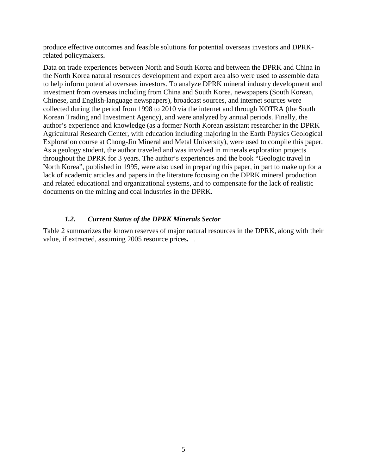produce effective outcomes and feasible solutions for potential overseas investors and DPRKrelated policymakers**.**

Data on trade experiences between North and South Korea and between the DPRK and China in the North Korea natural resources development and export area also were used to assemble data to help inform potential overseas investors. To analyze DPRK mineral industry development and investment from overseas including from China and South Korea, newspapers (South Korean, Chinese, and English-language newspapers), broadcast sources, and internet sources were collected during the period from 1998 to 2010 via the internet and through KOTRA (the South Korean Trading and Investment Agency), and were analyzed by annual periods. Finally, the author's experience and knowledge (as a former North Korean assistant researcher in the DPRK Agricultural Research Center, with education including majoring in the Earth Physics Geological Exploration course at Chong-Jin Mineral and Metal University), were used to compile this paper. As a geology student, the author traveled and was involved in minerals exploration projects throughout the DPRK for 3 years. The author's experiences and the book "Geologic travel in North Korea", published in 1995, were also used in preparing this paper, in part to make up for a lack of academic articles and papers in the literature focusing on the DPRK mineral production and related educational and organizational systems, and to compensate for the lack of realistic documents on the mining and coal industries in the DPRK.

#### *1.2. Current Status of the DPRK Minerals Sector*

<span id="page-4-0"></span>Table 2 summarizes the known reserves of major natural resources in the DPRK, along with their value, if extracted, assuming 2005 resource prices**.** .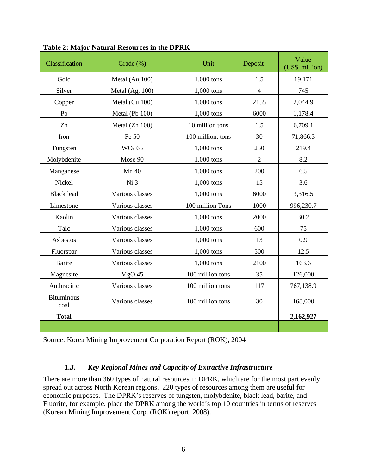| Classification            | Grade (%)          | Unit              | Deposit        | Value<br>(US\$, million) |
|---------------------------|--------------------|-------------------|----------------|--------------------------|
| Gold                      | Metal (Au,100)     | 1,000 tons        | 1.5            | 19,171                   |
| Silver                    | Metal (Ag, 100)    | $1,000$ tons      | $\overline{4}$ | 745                      |
| Copper                    | Metal (Cu 100)     | 1,000 tons        | 2155           | 2,044.9                  |
| Pb                        | Metal (Pb 100)     | 1,000 tons        | 6000           | 1,178.4                  |
| Zn                        | Metal (Zn 100)     | 10 million tons   | 1.5            | 6,709.1                  |
| Iron                      | Fe 50              | 100 million. tons | 30             | 71,866.3                 |
| Tungsten                  | WO <sub>3</sub> 65 | 1,000 tons        | 250            | 219.4                    |
| Molybdenite               | Mose 90            | $1,000$ tons      | $\overline{2}$ | 8.2                      |
| Manganese                 | Mn 40              | 1,000 tons        | 200            | 6.5                      |
| Nickel                    | Ni 3               | $1,000$ tons      | 15             | 3.6                      |
| <b>Black lead</b>         | Various classes    | 1,000 tons        | 6000           | 3,316.5                  |
| Limestone                 | Various classes    | 100 million Tons  | 1000           | 996,230.7                |
| Kaolin                    | Various classes    | $1,000$ tons      | 2000           | 30.2                     |
| Talc                      | Various classes    | 1,000 tons        | 600            | 75                       |
| Asbestos                  | Various classes    | $1,000$ tons      | 13             | 0.9                      |
| Fluorspar                 | Various classes    | $1,000$ tons      | 500            | 12.5                     |
| <b>Barite</b>             | Various classes    | 1,000 tons        | 2100           | 163.6                    |
| Magnesite                 | $MgO$ 45           | 100 million tons  | 35             | 126,000                  |
| Anthracitic               | Various classes    | 100 million tons  | 117            | 767,138.9                |
| <b>Bituminous</b><br>coal | Various classes    | 100 million tons  | 30             | 168,000                  |
| <b>Total</b>              |                    |                   |                | 2,162,927                |
|                           |                    |                   |                |                          |

**Table 2: Major Natural Resources in the DPRK**

<span id="page-5-0"></span>Source: Korea Mining Improvement Corporation Report (ROK), 2004

## *1.3. Key Regional Mines and Capacity of Extractive Infrastructure*

There are more than 360 types of natural resources in DPRK, which are for the most part evenly spread out across North Korean regions. 220 types of resources among them are useful for economic purposes. The DPRK's reserves of tungsten, molybdenite, black lead, barite, and Fluorite, for example, place the DPRK among the world's top 10 countries in terms of reserves (Korean Mining Improvement Corp. (ROK) report, 2008).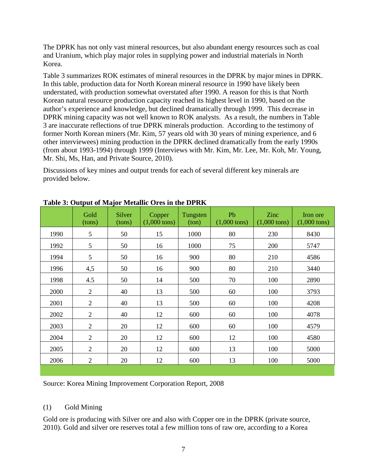The DPRK has not only vast mineral resources, but also abundant energy resources such as coal and Uranium, which play major roles in supplying power and industrial materials in North Korea.

Table 3 summarizes ROK estimates of mineral resources in the DPRK by major mines in DPRK. In this table, production data for North Korean mineral resource in 1990 have likely been understated, with production somewhat overstated after 1990. A reason for this is that North Korean natural resource production capacity reached its highest level in 1990, based on the author's experience and knowledge, but declined dramatically through 1999. This decrease in DPRK mining capacity was not well known to ROK analysts.As a result, the numbers in Table 3 are inaccurate reflections of true DPRK minerals production. According to the testimony of former North Korean miners (Mr. Kim, 57 years old with 30 years of mining experience, and 6 other interviewees) mining production in the DPRK declined dramatically from the early 1990s (from about 1993-1994) through 1999 (Interviews with Mr. Kim, Mr. Lee, Mr. Koh, Mr. Young, Mr. Shi, Ms, Han, and Private Source, 2010).

Discussions of key mines and output trends for each of several different key minerals are provided below.

|      | Gold<br>(tons) | v<br><b>Silver</b><br>(tons) | Copper<br>$(1,000 \text{ tons})$ | Tungsten<br>ton) | Pb<br>$(1,000 \text{ tons})$ | Zinc<br>$(1,000 \text{ tons})$ | Iron ore<br>$(1,000 \text{ tons})$ |
|------|----------------|------------------------------|----------------------------------|------------------|------------------------------|--------------------------------|------------------------------------|
| 1990 | 5              | 50                           | 15                               | 1000             | 80                           | 230                            | 8430                               |
| 1992 | 5              | 50                           | 16                               | 1000             | 75                           | 200                            | 5747                               |
| 1994 | 5              | 50                           | 16                               | 900              | 80                           | 210                            | 4586                               |
| 1996 | 4,5            | 50                           | 16                               | 900              | 80                           | 210                            | 3440                               |
| 1998 | 4.5            | 50                           | 14                               | 500              | 70                           | 100                            | 2890                               |
| 2000 | $\overline{2}$ | 40                           | 13                               | 500              | 60                           | 100                            | 3793                               |
| 2001 | $\overline{2}$ | 40                           | 13                               | 500              | 60                           | 100                            | 4208                               |
| 2002 | $\overline{2}$ | 40                           | 12                               | 600              | 60                           | 100                            | 4078                               |
| 2003 | $\overline{2}$ | 20                           | 12                               | 600              | 60                           | 100                            | 4579                               |
| 2004 | $\overline{2}$ | 20                           | 12                               | 600              | 12                           | 100                            | 4580                               |
| 2005 | $\overline{2}$ | 20                           | 12                               | 600              | 13                           | 100                            | 5000                               |
| 2006 | $\mathfrak{2}$ | 20                           | 12                               | 600              | 13                           | 100                            | 5000                               |

**Table 3: Output of Major Metallic Ores in the DPRK**

Source: Korea Mining Improvement Corporation Report, 2008

## (1) Gold Mining

Gold ore is producing with Silver ore and also with Copper ore in the DPRK (private source, 2010). Gold and silver ore reserves total a few million tons of raw ore, according to a Korea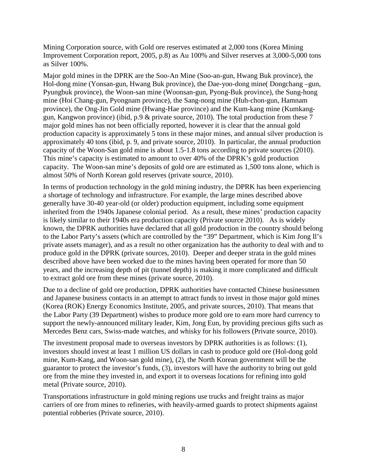Mining Corporation source, with Gold ore reserves estimated at 2,000 tons (Korea Mining Improvement Corporation report, 2005, p.8) as Au 100% and Silver reserves at 3,000-5,000 tons as Silver 100%.

Major gold mines in the DPRK are the Soo-An Mine (Soo-an-gun, Hwang Buk province), the Hol-dong mine (Yonsan-gun, Hwang Buk province), the Dae-yoo-dong mine( Dongchang –gun, Pyungbuk province), the Woon-san mine (Woonsan-gun, Pyong-Buk province), the Sung-hong mine (Hoi Chang-gun, Pyongnam province), the Sang-nong mine (Huh-chon-gun, Hamnam province), the Ong-Jin Gold mine (Hwang-Hae province) and the Kum-kang mine (Kumkanggun, Kangwon province) (ibid, p.9 & private source, 2010). The total production from these 7 major gold mines has not been officially reported, however it is clear that the annual gold production capacity is approximately 5 tons in these major mines, and annual silver production is approximately 40 tons (ibid, p. 9, and private source, 2010). In particular, the annual production capacity of the Woon-San gold mine is about 1.5-1.8 tons according to private sources (2010). This mine's capacity is estimated to amount to over 40% of the DPRK's gold production capacity. The Woon-san mine's deposits of gold ore are estimated as 1,500 tons alone, which is almost 50% of North Korean gold reserves (private source, 2010).

In terms of production technology in the gold mining industry, the DPRK has been experiencing a shortage of technology and infrastructure. For example, the large mines described above generally have 30-40 year-old (or older) production equipment, including some equipment inherited from the 1940s Japanese colonial period. As a result, these mines' production capacity is likely similar to their 1940s era production capacity (Private source 2010). As is widely known, the DPRK authorities have declared that all gold production in the country should belong to the Labor Party's assets (which are controlled by the "39" Department, which is Kim Jong Il's private assets manager), and as a result no other organization has the authority to deal with and to produce gold in the DPRK (private sources, 2010). Deeper and deeper strata in the gold mines described above have been worked due to the mines having been operated for more than 50 years, and the increasing depth of pit (tunnel depth) is making it more complicated and difficult to extract gold ore from these mines (private source, 2010).

Due to a decline of gold ore production, DPRK authorities have contacted Chinese businessmen and Japanese business contacts in an attempt to attract funds to invest in those major gold mines (Korea (ROK) Energy Economics Institute, 2005, and private sources, 2010). That means that the Labor Party (39 Department) wishes to produce more gold ore to earn more hard currency to support the newly-announced military leader, Kim, Jong Eun, by providing precious gifts such as Mercedes Benz cars, Swiss-made watches, and whisky for his followers (Private source, 2010).

The investment proposal made to overseas investors by DPRK authorities is as follows: (1), investors should invest at least 1 million US dollars in cash to produce gold ore (Hol-dong gold mine, Kum-Kang, and Woon-san gold mine), (2), the North Korean government will be the guarantor to protect the investor's funds, (3), investors will have the authority to bring out gold ore from the mine they invested in, and export it to overseas locations for refining into gold metal (Private source, 2010).

Transportations infrastructure in gold mining regions use trucks and freight trains as major carriers of ore from mines to refineries, with heavily-armed guards to protect shipments against potential robberies (Private source, 2010).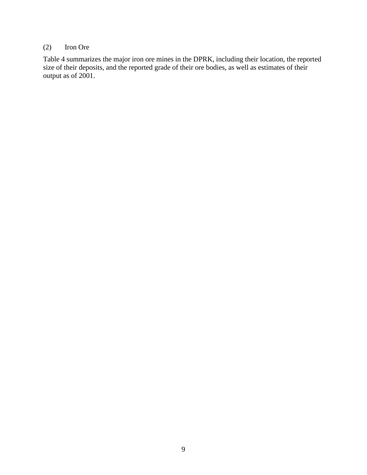## (2) Iron Ore

Table 4 summarizes the major iron ore mines in the DPRK, including their location, the reported size of their deposits, and the reported grade of their ore bodies, as well as estimates of their output as of 2001.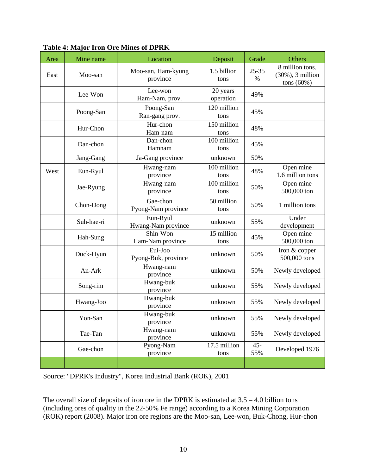| Area | Mine name  | Location                       | Deposit               | Grade         | Others                                                   |
|------|------------|--------------------------------|-----------------------|---------------|----------------------------------------------------------|
| East | Moo-san    | Moo-san, Ham-kyung<br>province | 1.5 billion<br>tons   | 25-35<br>$\%$ | 8 million tons.<br>$(30\%)$ , 3 million<br>tons $(60\%)$ |
|      | Lee-Won    | Lee-won<br>Ham-Nam, prov.      | 20 years<br>operation | 49%           |                                                          |
|      | Poong-San  | Poong-San<br>Ran-gang prov.    | 120 million<br>tons   | 45%           |                                                          |
|      | Hur-Chon   | Hur-chon<br>Ham-nam            | 150 million<br>tons   | 48%           |                                                          |
|      | Dan-chon   | Dan-chon<br>Hamnam             | 100 million<br>tons   | 45%           |                                                          |
|      | Jang-Gang  | Ja-Gang province               | unknown               | 50%           |                                                          |
| West | Eun-Ryul   | Hwang-nam<br>province          | 100 million<br>tons   | 48%           | Open mine<br>1.6 million tons                            |
|      | Jae-Ryung  | Hwang-nam<br>province          | 100 million<br>tons   | 50%           | Open mine<br>500,000 ton                                 |
|      | Chon-Dong  | Gae-chon<br>Pyong-Nam province | 50 million<br>tons    | 50%           | 1 million tons                                           |
|      | Suh-hae-ri | Eun-Ryul<br>Hwang-Nam province | unknown               | 55%           | Under<br>development                                     |
|      | Hah-Sung   | Shin-Won<br>Ham-Nam province   | 15 million<br>tons    | 45%           | Open mine<br>500,000 ton                                 |
|      | Duck-Hyun  | Eui-Joo<br>Pyong-Buk, province | unknown               | 50%           | Iron & copper<br>500,000 tons                            |
|      | An-Ark     | Hwang-nam<br>province          | unknown               | 50%           | Newly developed                                          |
|      | Song-rim   | Hwang-buk<br>province          | unknown               | 55%           | Newly developed                                          |
|      | Hwang-Joo  | Hwang-buk<br>province          | unknown               | 55%           | Newly developed                                          |
|      | Yon-San    | Hwang-buk<br>province          | unknown               | 55%           | Newly developed                                          |
|      | Tae-Tan    | Hwang-nam<br>province          | unknown               | 55%           | Newly developed                                          |
|      | Gae-chon   | Pyong-Nam<br>province          | 17.5 million<br>tons  | $45 -$<br>55% | Developed 1976                                           |
|      |            |                                |                       |               |                                                          |

**Table 4: Major Iron Ore Mines of DPRK** 

Source: "DPRK's Industry", Korea Industrial Bank (ROK), 2001

The overall size of deposits of iron ore in the DPRK is estimated at  $3.5 - 4.0$  billion tons (including ores of quality in the 22-50% Fe range) according to a Korea Mining Corporation (ROK) report (2008). Major iron ore regions are the Moo-san, Lee-won, Buk-Chong, Hur-chon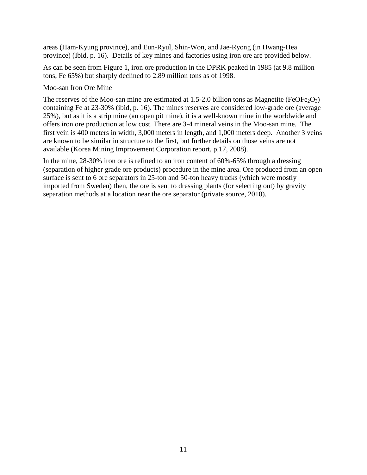areas (Ham-Kyung province), and Eun-Ryul, Shin-Won, and Jae-Ryong (in Hwang-Hea province) (Ibid, p. 16). Details of key mines and factories using iron ore are provided below.

As can be seen from Figure 1, iron ore production in the DPRK peaked in 1985 (at 9.8 million tons, Fe 65%) but sharply declined to 2.89 million tons as of 1998.

#### Moo-san Iron Ore Mine

The reserves of the Moo-san mine are estimated at 1.5-2.0 billion tons as Magnetite (FeOFe<sub>2</sub>O<sub>3</sub>) containing Fe at 23-30% (ibid, p. 16). The mines reserves are considered low-grade ore (average 25%), but as it is a strip mine (an open pit mine), it is a well-known mine in the worldwide and offers iron ore production at low cost. There are 3-4 mineral veins in the Moo-san mine. The first vein is 400 meters in width, 3,000 meters in length, and 1,000 meters deep. Another 3 veins are known to be similar in structure to the first, but further details on those veins are not available (Korea Mining Improvement Corporation report, p.17, 2008).

In the mine, 28-30% iron ore is refined to an iron content of 60%-65% through a dressing (separation of higher grade ore products) procedure in the mine area. Ore produced from an open surface is sent to 6 ore separators in 25-ton and 50-ton heavy trucks (which were mostly imported from Sweden) then, the ore is sent to dressing plants (for selecting out) by gravity separation methods at a location near the ore separator (private source, 2010).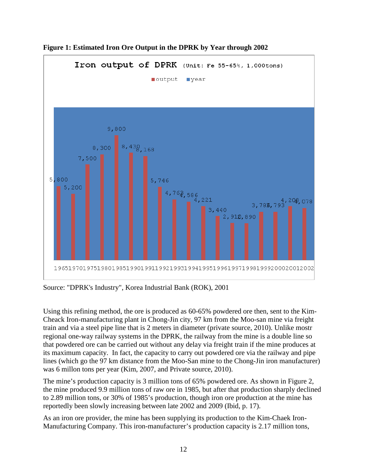

**Figure 1: Estimated Iron Ore Output in the DPRK by Year through 2002** 

Source: "DPRK's Industry", Korea Industrial Bank (ROK), 2001

Using this refining method, the ore is produced as 60-65% powdered ore then, sent to the Kim-Cheack Iron-manufacturing plant in Chong-Jin city, 97 km from the Moo-san mine via freight train and via a steel pipe line that is 2 meters in diameter (private source, 2010). Unlike mostr regional one-way railway systems in the DPRK, the railway from the mine is a double line so that powdered ore can be carried out without any delay via freight train if the mine produces at its maximum capacity. In fact, the capacity to carry out powdered ore via the railway and pipe lines (which go the 97 km distance from the Moo-San mine to the Chong-Jin iron manufacturer) was 6 millon tons per year (Kim, 2007, and Private source, 2010).

The mine's production capacity is 3 million tons of 65% powdered ore. As shown in Figure 2, the mine produced 9.9 million tons of raw ore in 1985, but after that production sharply declined to 2.89 million tons, or 30% of 1985's production, though iron ore production at the mine has reportedly been slowly increasing between late 2002 and 2009 (Ibid, p. 17).

As an iron ore provider, the mine has been supplying its production to the Kim-Chaek Iron-Manufacturing Company. This iron-manufacturer's production capacity is 2.17 million tons,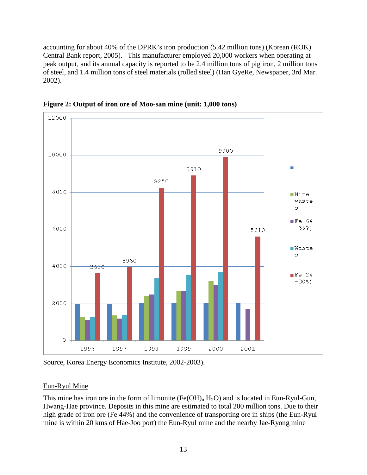accounting for about 40% of the DPRK's iron production (5.42 million tons) (Korean (ROK) Central Bank report, 2005). This manufacturer employed 20,000 workers when operating at peak output, and its annual capacity is reported to be 2.4 million tons of pig iron, 2 million tons of steel, and 1.4 million tons of steel materials (rolled steel) (Han GyeRe, Newspaper, 3rd Mar. 2002).



**Figure 2: Output of iron ore of Moo-san mine (unit: 1,000 tons)**

Source, Korea Energy Economics Institute, 2002-2003).

## Eun-Ryul Mine

This mine has iron ore in the form of limonite  $(Fe(OH)_n H_2O)$  and is located in Eun-Ryul-Gun, Hwang-Hae province. Deposits in this mine are estimated to total 200 million tons. Due to their high grade of iron ore (Fe 44%) and the convenience of transporting ore in ships (the Eun-Ryul mine is within 20 kms of Hae-Joo port) the Eun-Ryul mine and the nearby Jae-Ryong mine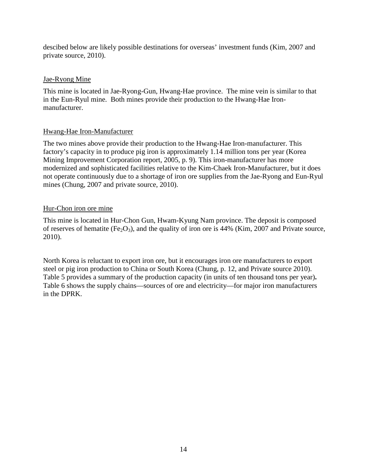descibed below are likely possible destinations for overseas' investment funds (Kim, 2007 and private source, 2010).

#### Jae-Ryong Mine

This mine is located in Jae-Ryong-Gun, Hwang-Hae province. The mine vein is similar to that in the Eun-Ryul mine. Both mines provide their production to the Hwang-Hae Ironmanufacturer.

## Hwang-Hae Iron-Manufacturer

The two mines above provide their production to the Hwang-Hae Iron-manufacturer. This factory's capacity in to produce pig iron is approximately 1.14 million tons per year (Korea Mining Improvement Corporation report, 2005, p. 9). This iron-manufacturer has more modernized and sophisticated facilities relative to the Kim-Chaek Iron-Manufacturer, but it does not operate continuously due to a shortage of iron ore supplies from the Jae-Ryong and Eun-Ryul mines (Chung, 2007 and private source, 2010).

## Hur-Chon iron ore mine

This mine is located in Hur-Chon Gun, Hwam-Kyung Nam province. The deposit is composed of reserves of hematite (Fe<sub>2</sub>O<sub>3</sub>), and the quality of iron ore is 44% (Kim, 2007 and Private source, 2010).

North Korea is reluctant to export iron ore, but it encourages iron ore manufacturers to export steel or pig iron production to China or South Korea (Chung, p. 12, and Private source 2010). Table 5 provides a summary of the production capacity (in units of ten thousand tons per year)**.**  Table 6 shows the supply chains—sources of ore and electricity—for major iron manufacturers in the DPRK.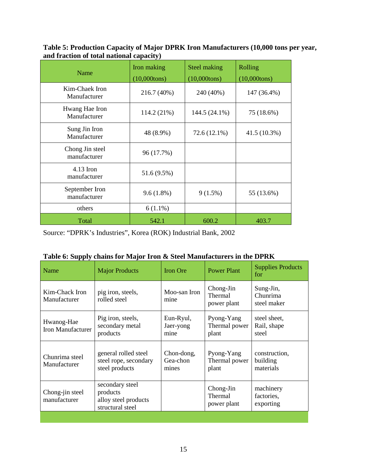**Table 5: Production Capacity of Major DPRK Iron Manufacturers (10,000 tons per year, and fraction of total national capacity)**

| Name                            | Iron making<br>$(10,000$ tons) | Steel making<br>$(10,000$ tons) | Rolling<br>$(10,000$ tons) |
|---------------------------------|--------------------------------|---------------------------------|----------------------------|
| Kim-Chaek Iron<br>Manufacturer  | 216.7 (40%)                    | 240 (40%)                       | 147 (36.4%)                |
| Hwang Hae Iron<br>Manufacturer  | 114.2 (21%)                    | 144.5 (24.1%)                   | 75 (18.6%)                 |
| Sung Jin Iron<br>Manufacturer   | 48 (8.9%)                      | 72.6 (12.1%)                    | 41.5 (10.3%)               |
| Chong Jin steel<br>manufacturer | 96 (17.7%)                     |                                 |                            |
| $4.13$ Iron<br>manufacturer     | 51.6 (9.5%)                    |                                 |                            |
| September Iron<br>manufacturer  | $9.6(1.8\%)$                   | $9(1.5\%)$                      | 55 (13.6%)                 |
| others                          | $6(1.1\%)$                     |                                 |                            |
| Total                           | 542.1                          | 600.2                           | 403.7                      |

Source: "DPRK's Industries", Korea (ROK) Industrial Bank, 2002

|                                 | Table 0. Supply chains for major from <b>&amp;</b> Steel manufacturers in the DT KK |                                 |                                      |                                        |
|---------------------------------|-------------------------------------------------------------------------------------|---------------------------------|--------------------------------------|----------------------------------------|
| Name                            | <b>Major Products</b>                                                               | <b>Iron Ore</b>                 | <b>Power Plant</b>                   | <b>Supplies Products</b><br>for        |
| Kim-Chack Iron<br>Manufacturer  | pig iron, steels,<br>rolled steel                                                   | Moo-san Iron<br>mine            | Chong-Jin<br>Thermal<br>power plant  | Sung-Jin,<br>Chunrima<br>steel maker   |
| Hwanog-Hae<br>Iron Manufacturer | Pig iron, steels,<br>secondary metal<br>products                                    | Eun-Ryul,<br>Jaer-yong<br>mine  | Pyong-Yang<br>Thermal power<br>plant | steel sheet,<br>Rail, shape<br>steel   |
| Chunrima steel<br>Manufacturer  | general rolled steel<br>steel rope, secondary<br>steel products                     | Chon-dong,<br>Gea-chon<br>mines | Pyong-Yang<br>Thermal power<br>plant | construction,<br>building<br>materials |
| Chong-jin steel<br>manufacturer | secondary steel<br>products<br>alloy steel products<br>structural steel             |                                 | Chong-Jin<br>Thermal<br>power plant  | machinery<br>factories,<br>exporting   |
|                                 |                                                                                     |                                 |                                      |                                        |

|  | Table 6: Supply chains for Major Iron & Steel Manufacturers in the DPRK |
|--|-------------------------------------------------------------------------|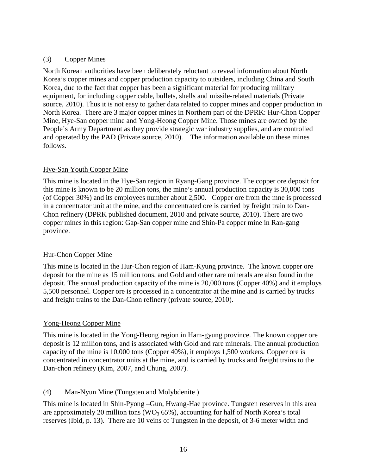#### (3) Copper Mines

North Korean authorities have been deliberately reluctant to reveal information about North Korea's copper mines and copper production capacity to outsiders, including China and South Korea, due to the fact that copper has been a significant material for producing military equipment, for including copper cable, bullets, shells and missile-related materials (Private source, 2010). Thus it is not easy to gather data related to copper mines and copper production in North Korea. There are 3 major copper mines in Northern part of the DPRK: Hur-Chon Copper Mine, Hye-San copper mine and Yong-Heong Copper Mine. Those mines are owned by the People's Army Department as they provide strategic war industry supplies, and are controlled and operated by the PAD (Private source, 2010). The information available on these mines follows.

## Hye-San Youth Copper Mine

This mine is located in the Hye-San region in Ryang-Gang province. The copper ore deposit for this mine is known to be 20 million tons, the mine's annual production capacity is 30,000 tons (of Copper 30%) and its employees number about 2,500. Copper ore from the mne is processed in a concentrator unit at the mine, and the concentrated ore is carried by freight train to Dan-Chon refinery (DPRK published document, 2010 and private source, 2010). There are two copper mines in this region: Gap-San copper mine and Shin-Pa copper mine in Ran-gang province.

#### Hur-Chon Copper Mine

This mine is located in the Hur-Chon region of Ham-Kyung province. The known copper ore deposit for the mine as 15 million tons, and Gold and other rare minerals are also found in the deposit. The annual production capacity of the mine is 20,000 tons (Copper 40%) and it employs 5,500 personnel. Copper ore is processed in a concentrator at the mine and is carried by trucks and freight trains to the Dan-Chon refinery (private source, 2010).

## Yong-Heong Copper Mine

This mine is located in the Yong-Heong region in Ham-gyung province. The known copper ore deposit is 12 million tons, and is associated with Gold and rare minerals. The annual production capacity of the mine is 10,000 tons (Copper 40%), it employs 1,500 workers. Copper ore is concentrated in concentrator units at the mine, and is carried by trucks and freight trains to the Dan-chon refinery (Kim, 2007, and Chung, 2007).

## (4) Man-Nyun Mine (Tungsten and Molybdenite )

This mine is located in Shin-Pyong –Gun, Hwang-Hae province. Tungsten reserves in this area are approximately 20 million tons ( $WO<sub>3</sub>$  65%), accounting for half of North Korea's total reserves (Ibid, p. 13). There are 10 veins of Tungsten in the deposit, of 3-6 meter width and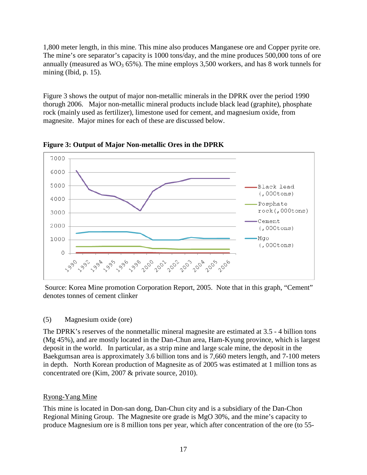1,800 meter length, in this mine. This mine also produces Manganese ore and Copper pyrite ore. The mine's ore separator's capacity is 1000 tons/day, and the mine produces 500,000 tons of ore annually (measured as  $WO_3$  65%). The mine employs 3,500 workers, and has 8 work tunnels for mining (Ibid, p. 15).

Figure 3 shows the output of major non-metallic minerals in the DPRK over the period 1990 thorugh 2006. Major non-metallic mineral products include black lead (graphite), phosphate rock (mainly used as fertilizer), limestone used for cement, and magnesium oxide, from magnesite. Major mines for each of these are discussed below.



**Figure 3: Output of Major Non-metallic Ores in the DPRK**

Source: Korea Mine promotion Corporation Report, 2005. Note that in this graph, "Cement" denotes tonnes of cement clinker

(5) Magnesium oxide (ore)

The DPRK's reserves of the nonmetallic mineral magnesite are estimated at 3.5 - 4 billion tons (Mg 45%), and are mostly located in the Dan-Chun area, Ham-Kyung province, which is largest deposit in the world. In particular, as a strip mine and large scale mine, the deposit in the Baekgumsan area is approximately 3.6 billion tons and is 7,660 meters length, and 7-100 meters in depth. North Korean production of Magnesite as of 2005 was estimated at 1 million tons as concentrated ore (Kim, 2007 & private source, 2010).

## Ryong-Yang Mine

This mine is located in Don-san dong, Dan-Chun city and is a subsidiary of the Dan-Chon Regional Mining Group. The Magnesite ore grade is MgO 30%, and the mine's capacity to produce Magnesium ore is 8 million tons per year, which after concentration of the ore (to 55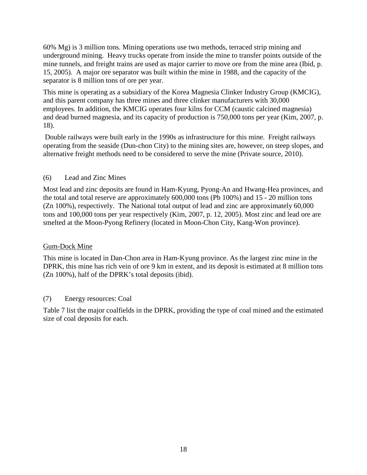60% Mg) is 3 million tons. Mining operations use two methods, terraced strip mining and underground mining. Heavy trucks operate from inside the mine to transfer points outside of the mine tunnels, and freight trains are used as major carrier to move ore from the mine area (Ibid, p. 15, 2005). A major ore separator was built within the mine in 1988, and the capacity of the separator is 8 million tons of ore per year.

This mine is operating as a subsidiary of the Korea Magnesia Clinker Industry Group (KMCIG), and this parent company has three mines and three clinker manufacturers with 30,000 employees. In addition, the KMCIG operates four kilns for CCM (caustic calcined magnesia) and dead burned magnesia, and its capacity of production is 750,000 tons per year (Kim, 2007, p. 18).

Double railways were built early in the 1990s as infrastructure for this mine. Freight railways operating from the seaside (Dun-chon City) to the mining sites are, however, on steep slopes, and alternative freight methods need to be considered to serve the mine (Private source, 2010).

## (6) Lead and Zinc Mines

Most lead and zinc deposits are found in Ham-Kyung, Pyong-An and Hwang-Hea provinces, and the total and total reserve are approximately 600,000 tons (Pb 100%) and 15 - 20 million tons (Zn 100%), respectively. The National total output of lead and zinc are approximately 60,000 tons and 100,000 tons per year respectively (Kim, 2007, p. 12, 2005). Most zinc and lead ore are smelted at the Moon-Pyong Refinery (located in Moon-Chon City, Kang-Won province).

#### Gum-Dock Mine

This mine is located in Dan-Chon area in Ham-Kyung province. As the largest zinc mine in the DPRK, this mine has rich vein of ore 9 km in extent, and its deposit is estimated at 8 million tons (Zn 100%), half of the DPRK's total deposits (ibid).

#### (7) Energy resources: Coal

Table 7 list the major coalfields in the DPRK, providing the type of coal mined and the estimated size of coal deposits for each.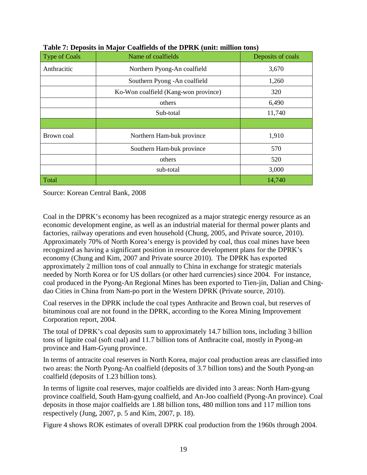| Type of Coals | Name of coalfields                   | Deposits of coals |
|---------------|--------------------------------------|-------------------|
| Anthracitic   | Northern Pyong-An coalfield          | 3,670             |
|               | Southern Pyong - An coalfield        | 1,260             |
|               | Ko-Won coalfield (Kang-won province) | 320               |
|               | others                               | 6,490             |
|               | Sub-total                            | 11,740            |
|               |                                      |                   |
| Brown coal    | Northern Ham-buk province            | 1,910             |
|               | Southern Ham-buk province            | 570               |
|               | others                               | 520               |
|               | sub-total                            | 3,000             |
| Total         |                                      | 14,740            |

|  | Table 7: Deposits in Major Coalfields of the DPRK (unit: million tons) |  |
|--|------------------------------------------------------------------------|--|
|--|------------------------------------------------------------------------|--|

Source: Korean Central Bank, 2008

Coal in the DPRK's economy has been recognized as a major strategic energy resource as an economic development engine, as well as an industrial material for thermal power plants and factories, railway operations and even household (Chung, 2005, and Private source, 2010). Approximately 70% of North Korea's energy is provided by coal, thus coal mines have been recognized as having a significant position in resource development plans for the DPRK's economy (Chung and Kim, 2007 and Private source 2010). The DPRK has exported approximately 2 million tons of coal annually to China in exchange for strategic materials needed by North Korea or for US dollars (or other hard currencies) since 2004. For instance, coal produced in the Pyong-An Regional Mines has been exported to Tien-jin, Dalian and Chingdao Cities in China from Nam-po port in the Western DPRK (Private source, 2010).

Coal reserves in the DPRK include the coal types Anthracite and Brown coal, but reserves of bituminous coal are not found in the DPRK, according to the Korea Mining Improvement Corporation report, 2004.

The total of DPRK's coal deposits sum to approximately 14.7 billion tons, including 3 billion tons of lignite coal (soft coal) and 11.7 billion tons of Anthracite coal, mostly in Pyong-an province and Ham-Gyung province.

In terms of antracite coal reserves in North Korea, major coal production areas are classified into two areas: the North Pyong-An coalfield (deposits of 3.7 billion tons) and the South Pyong-an coalfield (deposits of 1.23 billion tons).

In terms of lignite coal reserves, major coalfields are divided into 3 areas: North Ham-gyung province coalfield, South Ham-gyung coalfield, and An-Joo coalfield (Pyong-An province). Coal deposits in those major coalfields are 1.88 billion tons, 480 million tons and 117 million tons respectively (Jung, 2007, p. 5 and Kim, 2007, p. 18).

Figure 4 shows ROK estimates of overall DPRK coal production from the 1960s through 2004.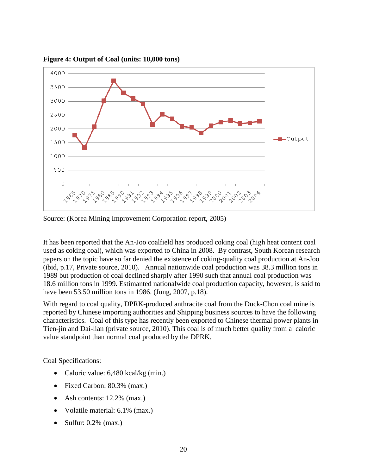

**Figure 4: Output of Coal (units: 10,000 tons)**

Source: (Korea Mining Improvement Corporation report, 2005)

It has been reported that the An-Joo coalfield has produced coking coal (high heat content coal used as coking coal), which was exported to China in 2008. By contrast, South Korean research papers on the topic have so far denied the existence of coking-quality coal production at An-Joo (ibid, p.17, Private source, 2010). Annual nationwide coal production was 38.3 million tons in 1989 but production of coal declined sharply after 1990 such that annual coal production was 18.6 million tons in 1999. Estimanted nationalwide coal production capacity, however, is said to have been 53.50 million tons in 1986. (Jung, 2007, p.18).

With regard to coal quality, DPRK-produced anthracite coal from the Duck-Chon coal mine is reported by Chinese importing authorities and Shipping business sources to have the following characteristics. Coal of this type has recently been exported to Chinese thermal power plants in Tien-jin and Dai-lian (private source, 2010). This coal is of much better quality from a caloric value standpoint than normal coal produced by the DPRK.

#### Coal Specifications:

- Caloric value: 6,480 kcal/kg (min.)
- Fixed Carbon: 80.3% (max.)
- Ash contents: 12.2% (max.)
- Volatile material: 6.1% (max.)
- Sulfur:  $0.2\%$  (max.)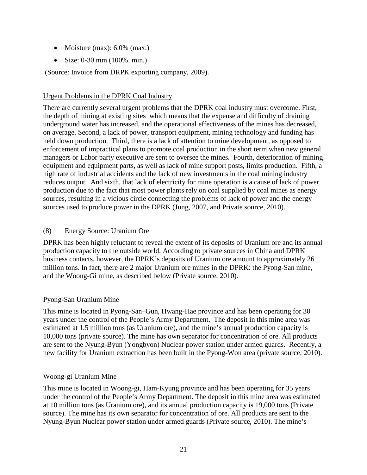- Moisture (max):  $6.0\%$  (max.)
- Size: 0-30 mm (100%. min.)

(Source: Invoice from DRPK exporting company, 2009).

#### Urgent Problems in the DPRK Coal Industry

There are currently several urgent problems that the DPRK coal industry must overcome. First, the depth of mining at existing sites which means that the expense and difficulty of draining underground water has increased, and the operational effectiveness of the mines has decreased, on average. Second, a lack of power, transport equipment, mining technology and funding has held down production. Third, there is a lack of attention to mine development, as opposed to enforcement of impractical plans to promote coal production in the short term when new general managers or Labor party executive are sent to oversee the mines**.** Fourth, deterioration of mining equipment and equipment parts, as well as lack of mine support posts, limits production. Fifth, a high rate of industrial accidents and the lack of new investments in the coal mining industry reduces output. And sixth, that lack of electricity for mine operation is a cause of lack of power production due to the fact that most power plants rely on coal supplied by coal mines as energy sources, resulting in a vicious circle connecting the problems of lack of power and the energy sources used to produce power in the DPRK (Jung, 2007, and Private source, 2010).

#### (8) Energy Source: Uranium Ore

DPRK has been highly reluctant to reveal the extent of its deposits of Uranium ore and its annual production capacity to the outside world. According to private sources in China and DPRK business contacts, however, the DPRK's deposits of Uranium ore amount to approximately 26 million tons. In fact, there are 2 major Uranium ore mines in the DPRK: the Pyong-San mine, and the Woong-Gi mine, as described below (Private source, 2010).

#### Pyong-San Uranium Mine

This mine is located in Pyong-San–Gun, Hwang-Hae province and has been operating for 30 years under the control of the People's Army Department. The deposit in this mine area was estimated at 1.5 million tons (as Uranium ore), and the mine's annual production capacity is 10,000 tons (private source). The mine has own separator for concentration of ore. All products are sent to the Nyung-Byun (Yongbyon) Nuclear power station under armed guards. Recently, a new facility for Uranium extraction has been built in the Pyong-Won area (private source, 2010).

#### Woong-gi Uranium Mine

This mine is located in Woong-gi, Ham-Kyung province and has been operating for 35 years under the control of the People's Army Department. The deposit in this mine area was estimated at 10 million tons (as Uranium ore), and its annual production capacity is 19,000 tons (Private source). The mine has its own separator for concentration of ore. All products are sent to the Nyung-Byun Nuclear power station under armed guards (Private source, 2010). The mine's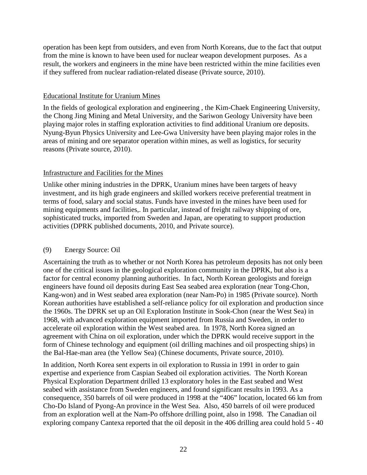operation has been kept from outsiders, and even from North Koreans, due to the fact that output from the mine is known to have been used for nuclear weapon development purposes. As a result, the workers and engineers in the mine have been restricted within the mine facilities even if they suffered from nuclear radiation-related disease (Private source, 2010).

#### Educational Institute for Uranium Mines

In the fields of geological exploration and engineering , the Kim-Chaek Engineering University, the Chong Jing Mining and Metal University, and the Sariwon Geology University have been playing major roles in staffing exploration activities to find additional Uranium ore deposits. Nyung-Byun Physics University and Lee-Gwa University have been playing major roles in the areas of mining and ore separator operation within mines, as well as logistics, for security reasons (Private source, 2010).

#### Infrastructure and Facilities for the Mines

Unlike other mining industries in the DPRK, Uranium mines have been targets of heavy investment, and its high grade engineers and skilled workers receive preferential treatment in terms of food, salary and social status. Funds have invested in the mines have been used for mining equipments and facilities,. In particular, instead of freight railway shipping of ore, sophisticated trucks, imported from Sweden and Japan, are operating to support production activities (DPRK published documents, 2010, and Private source).

#### (9) Energy Source: Oil

Ascertaining the truth as to whether or not North Korea has petroleum deposits has not only been one of the critical issues in the geological exploration community in the DPRK, but also is a factor for central economy planning authorities. In fact, North Korean geologists and foreign engineers have found oil deposits during East Sea seabed area exploration (near Tong-Chon, Kang-won) and in West seabed area exploration (near Nam-Po) in 1985 (Private source). North Korean authorities have established a self-reliance policy for oil exploration and production since the 1960s. The DPRK set up an Oil Exploration Institute in Sook-Chon (near the West Sea) in 1968, with advanced exploration equipment imported from Russia and Sweden, in order to accelerate oil exploration within the West seabed area. In 1978, North Korea signed an agreement with China on oil exploration, under which the DPRK would receive support in the form of Chinese technology and equipment (oil drilling machines and oil prospecting ships) in the Bal-Hae-man area (the Yellow Sea) (Chinese documents, Private source, 2010).

In addition, North Korea sent experts in oil exploration to Russia in 1991 in order to gain expertise and experience from Caspian Seabed oil exploration activities. The North Korean Physical Exploration Department drilled 13 exploratory holes in the East seabed and West seabed with assistance from Sweden engineers, and found significant results in 1993. As a consequence, 350 barrels of oil were produced in 1998 at the "406" location, located 66 km from Cho-Do Island of Pyong-An province in the West Sea. Also, 450 barrels of oil were produced from an exploration well at the Nam-Po offshore drilling point, also in 1998. The Canadian oil exploring company Cantexa reported that the oil deposit in the 406 drilling area could hold 5 - 40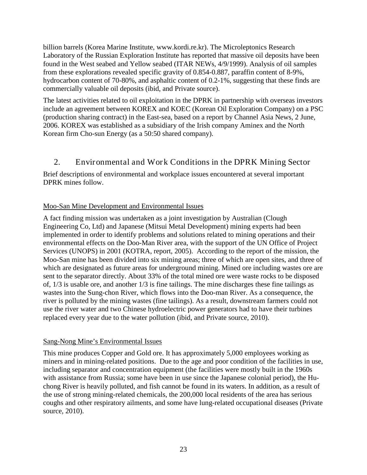billion barrels (Korea Marine Institute, www.kordi.re.kr). The Microleptonics Research Laboratory of the Russian Exploration Institute has reported that massive oil deposits have been found in the West seabed and Yellow seabed (ITAR NEWs, 4/9/1999). Analysis of oil samples from these explorations revealed specific gravity of 0.854-0.887, paraffin content of 8-9%, hydrocarbon content of 70-80%, and asphaltic content of 0.2-1%, suggesting that these finds are commercially valuable oil deposits (ibid, and Private source).

The latest activities related to oil exploitation in the DPRK in partnership with overseas investors include an agreement between KOREX and KOEC (Korean Oil Exploration Company) on a PSC (production sharing contract) in the East-sea, based on a report by Channel Asia News, 2 June, 2006. KOREX was established as a subsidiary of the Irish company Aminex and the North Korean firm Cho-sun Energy (as a 50:50 shared company).

## <span id="page-22-0"></span>2. Environmental and Work Conditions in the DPRK Mining Sector

Brief descriptions of environmental and workplace issues encountered at several important DPRK mines follow.

#### Moo-San Mine Development and Environmental Issues

A fact finding mission was undertaken as a joint investigation by Australian (Clough Engineering Co, Ltd) and Japanese (Mitsui Metal Development) mining experts had been implemented in order to identify problems and solutions related to mining operations and their environmental effects on the Doo-Man River area, with the support of the UN Office of Project Services (UNOPS) in 2001 (KOTRA, report, 2005). According to the report of the mission, the Moo-San mine has been divided into six mining areas; three of which are open sites, and three of which are designated as future areas for underground mining. Mined ore including wastes ore are sent to the separator directly. About 33% of the total mined ore were waste rocks to be disposed of, 1/3 is usable ore, and another 1/3 is fine tailings. The mine discharges these fine tailings as wastes into the Sung-chon River, which flows into the Doo-man River. As a consequence, the river is polluted by the mining wastes (fine tailings). As a result, downstream farmers could not use the river water and two Chinese hydroelectric power generators had to have their turbines replaced every year due to the water pollution (ibid, and Private source, 2010).

#### Sang-Nong Mine's Environmental Issues

This mine produces Copper and Gold ore. It has approximately 5,000 employees working as miners and in mining-related positions. Due to the age and poor condition of the facilities in use, including separator and concentration equipment (the facilities were mostly built in the 1960s with assistance from Russia; some have been in use since the Japanese colonial period), the Huchong River is heavily polluted, and fish cannot be found in its waters. In addition, as a result of the use of strong mining-related chemicals, the 200,000 local residents of the area has serious coughs and other respiratory ailments, and some have lung-related occupational diseases (Private source, 2010).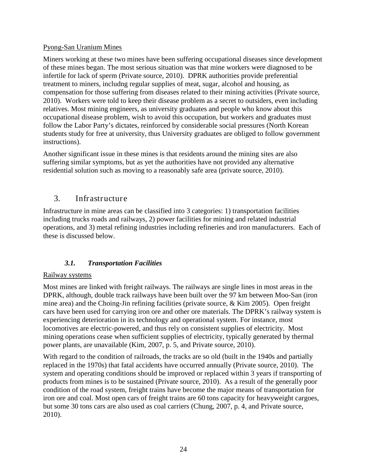#### Pyong-San Uranium Mines

Miners working at these two mines have been suffering occupational diseases since development of these mines began. The most serious situation was that mine workers were diagnosed to be infertile for lack of sperm (Private source, 2010). DPRK authorities provide preferential treatment to miners, includng regular supplies of meat, sugar, alcohol and housing, as compensation for those suffering from diseases related to their mining activities (Private source, 2010). Workers were told to keep their disease problem as a secret to outsiders, even including relatives. Most mining engineers, as university graduates and people who know about this occupational disease problem, wish to avoid this occupation, but workers and graduates must follow the Labor Party's dictates, reinforced by considerable social pressures (North Korean students study for free at university, thus University graduates are obliged to follow government instructions).

Another significant issue in these mines is that residents around the mining sites are also suffering similar symptoms, but as yet the authorities have not provided any alternative residential solution such as moving to a reasonably safe area (private source, 2010).

## <span id="page-23-0"></span>3. Infrastructure

Infrastructure in mine areas can be classified into 3 categories: 1) transportation facilities including trucks roads and railways, 2) power facilities for mining and related industrial operations, and 3) metal refining industries including refineries and iron manufacturers. Each of these is discussed below.

## *3.1. Transportation Facilities*

#### <span id="page-23-1"></span>Railway systems

Most mines are linked with freight railways. The railways are single lines in most areas in the DPRK, although, double track railways have been built over the 97 km between Moo-San (iron mine area) and the Choing-Jin refining facilities (private source, & Kim 2005). Open freight cars have been used for carrying iron ore and other ore materials. The DPRK's railway system is experiencing deterioration in its technology and operational system. For instance, most locomotives are electric-powered, and thus rely on consistent supplies of electricity. Most mining operations cease when sufficient supplies of electricity, typically generated by thermal power plants, are unavailable (Kim, 2007, p. 5, and Private source, 2010).

With regard to the condition of railroads, the tracks are so old (built in the 1940s and partially replaced in the 1970s) that fatal accidents have occurred annually (Private source, 2010). The system and operating conditions should be improved or replaced within 3 years if transporting of products from mines is to be sustained (Private source, 2010). As a result of the generally poor condition of the road system, freight trains have become the major means of transportation for iron ore and coal. Most open cars of freight trains are 60 tons capacity for heavyweight cargoes, but some 30 tons cars are also used as coal carriers (Chung, 2007, p. 4, and Private source, 2010).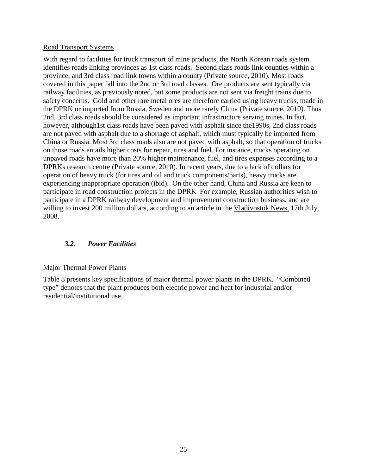#### Road Transport Systems

With regard to facilities for truck transport of mine products, the North Korean roads system identifies roads linking provinces as 1st class roads. Second class roads link counties within a province, and 3rd class road link towns within a county (Private source, 2010). Most roads covered in this paper fall into the 2nd or 3rd road classes. Ore products are sent typically via railway facilities, as previously noted, but some products are not sent via freight trains due to safety concerns. Gold and other rare metal ores are therefore carried using heavy trucks, made in the DPRK or imported from Russia, Sweden and more rarely China (Private source, 2010). Thus 2nd, 3rd class roads should be considered as important infrastructure serving mines. In fact, however, although1st class roads have been paved with asphalt since the1990s, 2nd class roads are not paved with asphalt due to a shortage of asphalt, which must typically be imported from China or Russia. Most 3rd class roads also are not paved with asphalt, so that operation of trucks on those roads entails higher costs for repair, tires and fuel. For instance, trucks operating on unpaved roads have more than 20% higher maintenance, fuel, and tires expenses according to a DPRKs research centre (Private source, 2010). In recent years, due to a lack of dollars for operation of heavy truck (for tires and oil and truck components/parts), heavy trucks are experiencing inappropriate operation (ibid). On the other hand, China and Russia are keen to participate in road construction projects in the DPRK For example, Russian authorities wish to participate in a DPRK railway development and improvement construction business, and are willing to invest 200 million dollars, according to an article in the Vladivostok News, 17th July, 2008.

#### <span id="page-24-0"></span>*3.2. Power Facilities*

#### Major Thermal Power Plants

Table 8 presents key specifications of major thermal power plants in the DPRK. "Combined type" denotes that the plant produces both electric power and heat for industrial and/or residential/institutional use.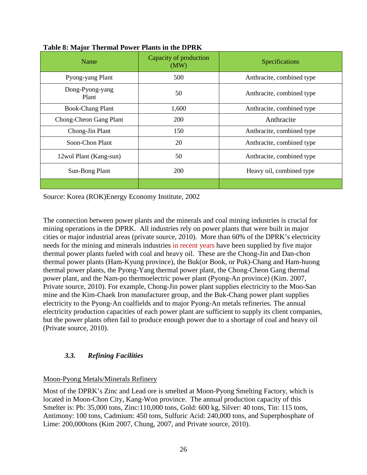| Name                     | Capacity of production<br>(MW) | Specifications            |
|--------------------------|--------------------------------|---------------------------|
| Pyong-yang Plant         | 500                            | Anthracite, combined type |
| Dong-Pyong-yang<br>Plant | 50                             | Anthracite, combined type |
| <b>Book-Chang Plant</b>  | 1,600                          | Anthracite, combined type |
| Chong-Cheon Gang Plant   | 200                            | Anthracite                |
| Chong-Jin Plant          | 150                            | Anthracite, combined type |
| Soon-Chon Plant          | 20                             | Anthracite, combined type |
| 12wol Plant (Kang-sun)   | 50                             | Anthracite, combined type |
| Sun-Bong Plant           | <b>200</b>                     | Heavy oil, combined type  |
|                          |                                |                           |

#### **Table 8: Major Thermal Power Plants in the DPRK**

Source: Korea (ROK)Energy Economy Institute, 2002

The connection between power plants and the minerals and coal mining industries is crucial for mining operations in the DPRK. All industries rely on power plants that were built in major cities or major industrial areas (private source, 2010). More than 60% of the DPRK's electricity needs for the mining and minerals industries in recent years have been supplied by five major thermal power plants fueled with coal and heavy oil. These are the Chong-Jin and Dan-chon thermal power plants (Ham-Kyung province), the Buk(or Book, or Puk)-Chang and Ham-huong thermal power plants, the Pyong-Yang thermal power plant, the Chong-Cheon Gang thermal power plant, and the Nam-po thermoelectric power plant (Pyong-An province) (Kim. 2007, Private source, 2010). For example, Chong-Jin power plant supplies electricity to the Moo-San mine and the Kim-Chaek Iron manufacturer group, and the Buk-Chang power plant supplies electricity to the Pyong-An coalfields and to major Pyong-An metals refineries. The annual electricity production capacities of each power plant are sufficient to supply its client companies, but the power plants often fail to produce enough power due to a shortage of coal and heavy oil (Private source, 2010).

## <span id="page-25-0"></span>*3.3. Refining Facilities*

#### Moon-Pyong Metals/Minerals Refinery

Most of the DPRK's Zinc and Lead ore is smelted at Moon-Pyong Smelting Factory, which is located in Moon-Chon City, Kang-Won province. The annual production capacity of this Smelter is: Pb: 35,000 tons, Zinc:110,000 tons, Gold: 600 kg, Silver: 40 tons, Tin: 115 tons, Antimony: 100 tons, Cadmium: 450 tons, Sulfuric Acid: 240,000 tons, and Superphosphate of Lime: 200,000tons (Kim 2007, Chung, 2007, and Private source, 2010).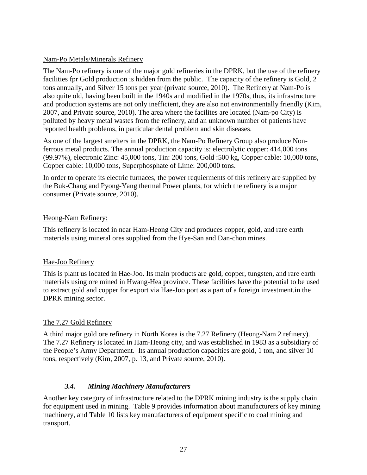#### Nam-Po Metals/Minerals Refinery

The Nam-Po refinery is one of the major gold refineries in the DPRK, but the use of the refinery facilities fpr Gold production is hidden from the public. The capacity of the refinery is Gold, 2 tons annually, and Silver 15 tons per year (private source, 2010). The Refinery at Nam-Po is also quite old, having been built in the 1940s and modified in the 1970s, thus, its infrastructure and production systems are not only inefficient, they are also not environmentally friendly (Kim, 2007, and Private source, 2010). The area where the facilites are located (Nam-po City) is polluted by heavy metal wastes from the refinery, and an unknown number of patients have reported health problems, in particular dental problem and skin diseases.

As one of the largest smelters in the DPRK, the Nam-Po Refinery Group also produce Nonferrous metal products. The annual production capacity is: electrolytic copper: 414,000 tons (99.97%), electronic Zinc: 45,000 tons, Tin: 200 tons, Gold :500 kg, Copper cable: 10,000 tons, Copper cable: 10,000 tons, Superphosphate of Lime: 200,000 tons.

In order to operate its electric furnaces, the power requierments of this refinery are supplied by the Buk-Chang and Pyong-Yang thermal Power plants, for which the refinery is a major consumer (Private source, 2010).

#### Heong-Nam Refinery:

This refinery is located in near Ham-Heong City and produces copper, gold, and rare earth materials using mineral ores supplied from the Hye-San and Dan-chon mines.

#### Hae-Joo Refinery

This is plant us located in Hae-Joo. Its main products are gold, copper, tungsten, and rare earth materials using ore mined in Hwang-Hea province. These facilities have the potential to be used to extract gold and copper for export via Hae-Joo port as a part of a foreign investment.in the DPRK mining sector.

#### The 7.27 Gold Refinery

A third major gold ore refinery in North Korea is the 7.27 Refinery (Heong-Nam 2 refinery). The 7.27 Refinery is located in Ham-Heong city, and was established in 1983 as a subsidiary of the People's Army Department. Its annual production capacities are gold, 1 ton, and silver 10 tons, respectively (Kim, 2007, p. 13, and Private source, 2010).

#### *3.4. Mining Machinery Manufacturers*

<span id="page-26-0"></span>Another key category of infrastructure related to the DPRK mining industry is the supply chain for equipment used in mining. Table 9 provides information about manufacturers of key mining machinery, and Table 10 lists key manufacturers of equipment specific to coal mining and transport.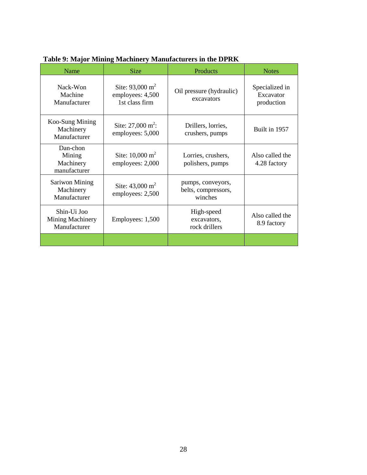| Name                                               | 0<br><b>Size</b>                                                 | Products                                            | <b>Notes</b>                              |
|----------------------------------------------------|------------------------------------------------------------------|-----------------------------------------------------|-------------------------------------------|
| Nack-Won<br>Machine<br>Manufacturer                | Site: $93,000 \text{ m}^2$<br>employees: 4,500<br>1st class firm | Oil pressure (hydraulic)<br>excavators              | Specialized in<br>Excavator<br>production |
| Koo-Sung Mining<br>Machinery<br>Manufacturer       | Site: $27,000 \text{ m}^2$ :<br>employees: 5,000                 | Drillers, lorries,<br>crushers, pumps               | Built in 1957                             |
| Dan-chon<br>Mining<br>Machinery<br>manufacturer    | Site: $10,000 \text{ m}^2$<br>employees: 2,000                   | Lorries, crushers,<br>polishers, pumps              | Also called the<br>4.28 factory           |
| <b>Sariwon Mining</b><br>Machinery<br>Manufacturer | Site: $43,000 \text{ m}^2$<br>employees: 2,500                   | pumps, conveyors,<br>belts, compressors,<br>winches |                                           |
| Shin-Ui Joo<br>Mining Machinery<br>Manufacturer    | Employees: 1,500                                                 | High-speed<br>excavators,<br>rock drillers          | Also called the<br>8.9 factory            |
|                                                    |                                                                  |                                                     |                                           |

**Table 9: Major Mining Machinery Manufacturers in the DPRK**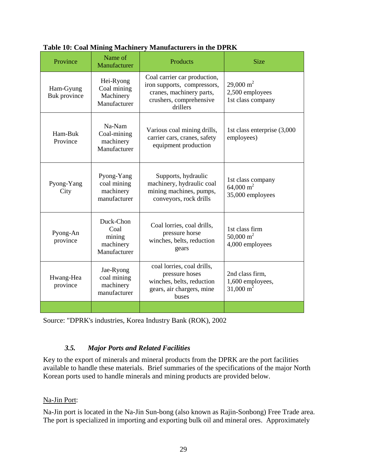| Province                  | Name of<br>Manufacturer                                  | <b>Products</b>                                                                                                                | <b>Size</b>                                                    |
|---------------------------|----------------------------------------------------------|--------------------------------------------------------------------------------------------------------------------------------|----------------------------------------------------------------|
| Ham-Gyung<br>Buk province | Hei-Ryong<br>Coal mining<br>Machinery<br>Manufacturer    | Coal carrier car production,<br>iron supports, compressors,<br>cranes, machinery parts,<br>crushers, comprehensive<br>drillers | $29.000 \text{ m}^2$<br>2,500 employees<br>1st class company   |
| Ham-Buk<br>Province       | Na-Nam<br>Coal-mining<br>machinery<br>Manufacturer       | Various coal mining drills,<br>carrier cars, cranes, safety<br>equipment production                                            | 1st class enterprise (3,000<br>employees)                      |
| Pyong-Yang<br>City        | Pyong-Yang<br>coal mining<br>machinery<br>manufacturer   | Supports, hydraulic<br>machinery, hydraulic coal<br>mining machines, pumps,<br>conveyors, rock drills                          | 1st class company<br>64,000 m <sup>2</sup><br>35,000 employees |
| Pyong-An<br>province      | Duck-Chon<br>Coal<br>mining<br>machinery<br>Manufacturer | Coal lorries, coal drills,<br>pressure horse<br>winches, belts, reduction<br>gears                                             | 1st class firm<br>50,000 m <sup>2</sup><br>4,000 employees     |
| Hwang-Hea<br>province     | Jae-Ryong<br>coal mining<br>machinery<br>manufacturer    | coal lorries, coal drills,<br>pressure hoses<br>winches, belts, reduction<br>gears, air chargers, mine<br>buses                | 2nd class firm.<br>1,600 employees,<br>$31,000 \text{ m}^2$    |
|                           |                                                          |                                                                                                                                |                                                                |

#### **Table 10: Coal Mining Machinery Manufacturers in the DPRK**

<span id="page-28-0"></span>Source: "DPRK's industries, Korea Industry Bank (ROK), 2002

#### *3.5. Major Ports and Related Facilities*

Key to the export of minerals and mineral products from the DPRK are the port facilities available to handle these materials. Brief summaries of the specifications of the major North Korean ports used to handle minerals and mining products are provided below.

#### Na-Jin Port :

Na-Jin port is located in the Na-Jin Sun-bong (also known as Rajin-Sonbong) Free Trade area. The port is specialized in importing and exporting bulk oil and mineral ores. Approximately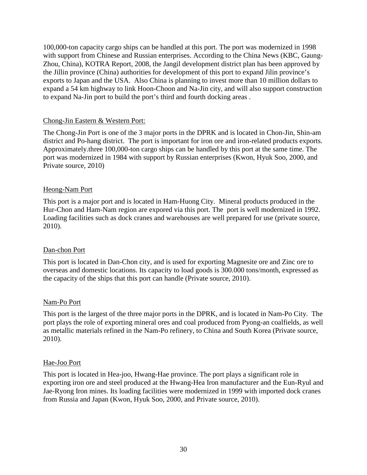100,000-ton capacity cargo ships can be handled at this port. The port was modernized in 1998 with support from Chinese and Russian enterprises. According to the China News (KBC, Gaung-Zhou, China), KOTRA Report, 2008, the Jangil development district plan has been approved by the Jillin province (China) authorities for development of this port to expand Jilin province's exports to Japan and the USA. Also China is planning to invest more than 10 million dollars to expand a 54 km highway to link Hoon-Choon and Na-Jin city, and will also support construction to expand Na-Jin port to build the port's third and fourth docking areas .

#### Chong-Jin Eastern & Western Port:

The Chong-Jin Port is one of the 3 major ports in the DPRK and is located in Chon-Jin, Shin-am district and Po-hang district. The port is important for iron ore and iron-related products exports. Approximately.three 100,000-ton cargo ships can be handled by this port at the same time. The port was modernized in 1984 with support by Russian enterprises (Kwon, Hyuk Soo, 2000, and Private source, 2010)

#### Heong-Nam Port

This port is a major port and is located in Ham-Huong City. Mineral products produced in the Hur-Chon and Ham-Nam region are expored via this port. The port is well modernized in 1992. Loading facilities such as dock cranes and warehouses are well prepared for use (private source, 2010).

#### Dan-chon Port

This port is located in Dan-Chon city, and is used for exporting Magnesite ore and Zinc ore to overseas and domestic locations. Its capacity to load goods is 300.000 tons/month, expressed as the capacity of the ships that this port can handle (Private source, 2010).

#### Nam-Po Port

This port is the largest of the three major ports in the DPRK, and is located in Nam-Po City. The port plays the role of exporting mineral ores and coal produced from Pyong-an coalfields, as well as metallic materials refined in the Nam-Po refinery, to China and South Korea (Private source, 2010).

#### Hae-Joo Port

This port is located in Hea-joo, Hwang-Hae province. The port plays a significant role in exporting iron ore and steel produced at the Hwang-Hea Iron manufacturer and the Eun-Ryul and Jae-Ryong Iron mines. Its loading facilities were modernized in 1999 with imported dock cranes from Russia and Japan (Kwon, Hyuk Soo, 2000, and Private source, 2010).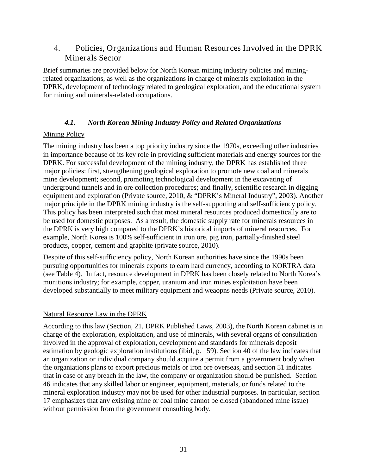## <span id="page-30-0"></span>4. Policies, Organizations and Human Resources Involved in the DPRK Minerals Sector

Brief summaries are provided below for North Korean mining industry policies and miningrelated organizations, as well as the organizations in charge of minerals exploitation in the DPRK, development of technology related to geological exploration, and the educational system for mining and minerals-related occupations.

#### *4.1. North Korean Mining Industry Policy and Related Organizations*

## <span id="page-30-1"></span>Mining Policy

The mining industry has been a top priority industry since the 1970s, exceeding other industries in importance because of its key role in providing sufficient materials and energy sources for the DPRK. For successful development of the mining industry, the DPRK has established three major policies: first, strengthening geological exploration to promote new coal and minerals mine development; second, promoting technological development in the excavating of underground tunnels and in ore collection procedures; and finally, scientific research in digging equipment and exploration (Private source, 2010, & "DPRK's Mineral Industry", 2003). Another major principle in the DPRK mining industry is the self-supporting and self-sufficiency policy. This policy has been interpreted such that most mineral resources produced domestically are to be used for domestic purposes. As a result, the domestic supply rate for minerals resources in the DPRK is very high compared to the DPRK's historical imports of mineral resources. For example, North Korea is 100% self-sufficient in iron ore, pig iron, partially-finished steel products, copper, cement and graphite (private source, 2010).

Despite of this self-sufficiency policy, North Korean authorities have since the 1990s been pursuing opportunities for minerals exports to earn hard currency, according to KORTRA data (see Table 4). In fact, resource development in DPRK has been closely related to North Korea's munitions industry; for example, copper, uranium and iron mines exploitation have been developed substantially to meet military equipment and weappns needs (Private source, 2010).

#### Natural Resource Law in the DPRK

According to this law (Section, 21, DPRK Published Laws, 2003), the North Korean cabinet is in charge of the exploration, exploitation, and use of minerals, with several organs of consultation involved in the approval of exploration, development and standards for minerals deposit estimation by geologic exploration institutions (ibid, p. 159). Section 40 of the law indicates that an organization or individual company should acquire a permit from a government body when the organiations plans to export precious metals or iron ore overseas, and section 51 indicates that in case of any breach in the law, the company or organization should be punished. Section 46 indicates that any skilled labor or engineer, equipment, materials, or funds related to the mineral exploration industry may not be used for other industrial purposes. In particular, section 17 emphasizes that any existing mine or coal mine cannot be closed (abandoned mine issue) without permission from the government consulting body.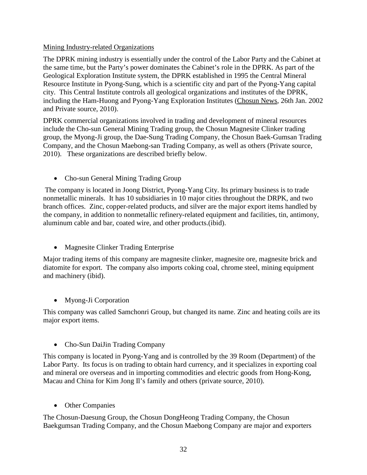#### Mining Industry-related Organizations

The DPRK mining industry is essentially under the control of the Labor Party and the Cabinet at the same time, but the Party's power dominates the Cabinet's role in the DPRK. As part of the Geological Exploration Institute system, the DPRK established in 1995 the Central Mineral Resource Institute in Pyong-Sung, which is a scientific city and part of the Pyong-Yang capital city. This Central Institute controls all geological organizations and institutes of the DPRK, including the Ham-Huong and Pyong-Yang Exploration Institutes (Chosun News, 26th Jan. 2002 and Private source, 2010).

DPRK commercial organizations involved in trading and development of mineral resources include the Cho-sun General Mining Trading group, the Chosun Magnesite Clinker trading group, the Myong-Ji group, the Dae-Sung Trading Company, the Chosun Baek-Gumsan Trading Company, and the Chosun Maebong-san Trading Company, as well as others (Private source, 2010). These organizations are described briefly below.

• Cho-sun General Mining Trading Group

The company is located in Joong District, Pyong-Yang City. Its primary business is to trade nonmetallic minerals. It has 10 subsidiaries in 10 major cities throughout the DRPK, and two branch offices. Zinc, copper-related products, and silver are the major export items handled by the company, in addition to nonmetallic refinery-related equipment and facilities, tin, antimony, aluminum cable and bar, coated wire, and other products.(ibid).

• Magnesite Clinker Trading Enterprise

Major trading items of this company are magnesite clinker, magnesite ore, magnesite brick and diatomite for export. The company also imports coking coal, chrome steel, mining equipment and machinery (ibid).

• Myong-Ji Corporation

This company was called Samchonri Group, but changed its name. Zinc and heating coils are its major export items.

• Cho-Sun DaiJin Trading Company

This company is located in Pyong-Yang and is controlled by the 39 Room (Department) of the Labor Party. Its focus is on trading to obtain hard currency, and it specializes in exporting coal and mineral ore overseas and in importing commodities and electric goods from Hong-Kong, Macau and China for Kim Jong Il's family and others (private source, 2010).

• Other Companies

The Chosun-Daesung Group, the Chosun DongHeong Trading Company, the Chosun Baekgumsan Trading Company, and the Chosun Maebong Company are major and exporters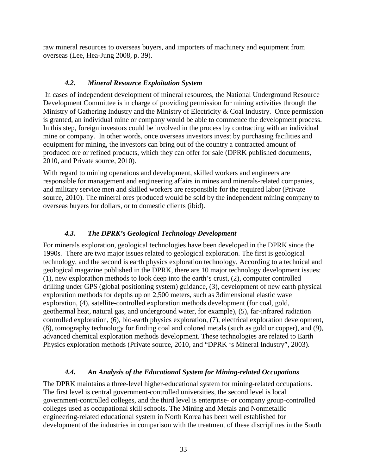raw mineral resources to overseas buyers, and importers of machinery and equipment from overseas (Lee, Hea-Jung 2008, p. 39).

#### *4.2. Mineral Resource Exploitation System*

<span id="page-32-0"></span>In cases of independent development of mineral resources, the National Underground Resource Development Committee is in charge of providing permission for mining activities through the Ministry of Gathering Industry and the Ministry of Electricity & Coal Industry. Once permission is granted, an individual mine or company would be able to commence the development process. In this step, foreign investors could be involved in the process by contracting with an individual mine or company. In other words, once overseas investors invest by purchasing facilities and equipment for mining, the investors can bring out of the country a contracted amount of produced ore or refined products, which they can offer for sale (DPRK published documents, 2010, and Private source, 2010).

With regard to mining operations and development, skilled workers and engineers are responsible for management and engineering affairs in mines and minerals-related companies, and military service men and skilled workers are responsible for the required labor (Private source, 2010). The mineral ores produced would be sold by the independent mining company to overseas buyers for dollars, or to domestic clients (ibid).

#### *4.3. The DPRK's Geological Technology Development*

<span id="page-32-1"></span>For minerals exploration, geological technologies have been developed in the DPRK since the 1990s. There are two major issues related to geological exploration. The first is geological technology, and the second is earth physics exploration technology. According to a technical and geological magazine published in the DPRK, there are 10 major technology development issues: (1), new explorathon methods to look deep into the earth's crust, (2), computer controlled drilling under GPS (global positioning system) guidance, (3), development of new earth physical exploration methods for depths up on 2,500 meters, such as 3dimensional elastic wave exploration, (4), satellite-controlled exploration methods development (for coal, gold, geothermal heat, natural gas, and underground water, for example), (5), far-infrared radiation controlled exploration, (6), bio-earth physics exploration, (7), electrical exploration development, (8), tomography technology for finding coal and colored metals (such as gold or copper), and (9), advanced chemical exploration methods development. These technologies are related to Earth Physics exploration methods (Private source, 2010, and "DPRK 's Mineral Industry", 2003).

#### *4.4. An Analysis of the Educational System for Mining-related Occupations*

<span id="page-32-2"></span>The DPRK maintains a three-level higher-educational system for mining-related occupations. The first level is central government-controlled universities, the second level is local government-controlled colleges, and the third level is enterprise- or company group-controlled colleges used as occupational skill schools. The Mining and Metals and Nonmetallic engineering-related educational system in North Korea has been well established for development of the industries in comparison with the treatment of these discriplines in the South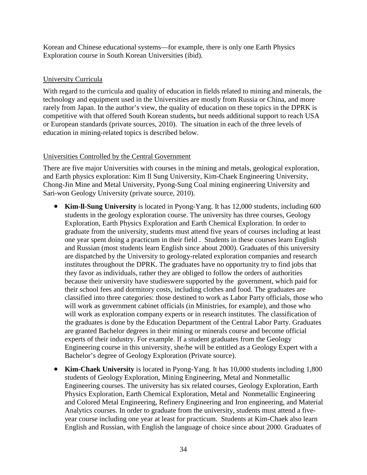Korean and Chinese educational systems—for example, there is only one Earth Physics Exploration course in South Korean Universities (ibid).

## University Curricula

With regard to the curricula and quality of education in fields related to mining and minerals, the technology and equipment used in the Universities are mostly from Russia or China, and more rarely from Japan. In the author's view, the quality of education on these topics in the DPRK is competitive with that offered South Korean students**,** but needs additional support to reach USA or European standards (private sources, 2010). The situation in each of the three levels of education in mining-related topics is described below.

## Universities Controlled by the Central Government

There are five major Universities with courses in the mining and metals, geological exploration, and Earth physics exploration: Kim Il Sung University, Kim-Chaek Engineering University, Chong-Jin Mine and Metal University, Pyong-Sung Coal mining engineering University and Sari-won Geology University (private source, 2010).

- **Kim-ll-Sung University** is located in Pyong-Yang. It has 12,000 students, including 600 students in the geology exploration course. The university has three courses, Geology Exploration, Earth Physics Exploration and Earth Chemical Exploration. In order to graduate from the university, students must attend five years of courses including at least one year spent doing a practicum in their field . Students in these courses learn English and Russian (most students learn English since about 2000). Graduates of this university are dispatched by the University to geology-related exploration companies and research institutes throughout the DPRK. The graduates have no opportunity try to find jobs that they favor as individuals, rather they are obliged to follow the orders of authorities because their university have studieswere supported by the government, which paid for their school fees and dormitory costs, including clothes and food. The graduates are classified into three categories: those destined to work as Labor Party officials, those who will work as government cabinet officials (in Ministries, for example), and those who will work as exploration company experts or in research institutes. The classification of the graduates is done by the Education Department of the Central Labor Party. Graduates are granted Bachelor degrees in their mining or minerals course and become official experts of their industry. For example. If a student graduates from the Geology Engineering course in this university, she/he will be entitled as a Geology Expert with a Bachelor's degree of Geology Exploration (Private source).
- **Kim-Chaek University** is located in Pyong-Yang. It has 10,000 students including 1,800 students of Geology Exploration, Mining Engineering, Metal and Nonmetallic Engineering courses. The university has six related courses, Geology Exploration, Earth Physics Exploration, Earth Chemical Exploration, Metal and Nonmetallic Engineering and Colored Metal Engineering, Refinery Engineering and Iron engineering, and Material Analytics courses. In order to graduate from the university, students must attend a fiveyear course including one year at least for practicum. Students at Kim-Chaek also learn English and Russian, with English the language of choice since about 2000. Graduates of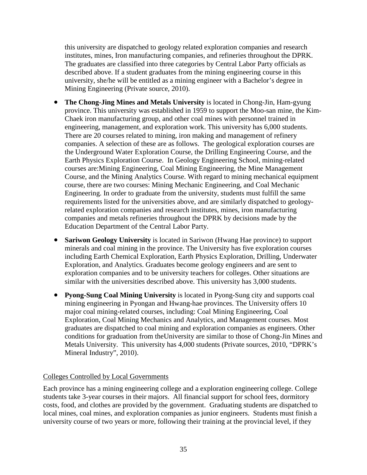this university are dispatched to geology related exploration companies and research institutes, mines, Iron manufacturing companies, and refineries throughout the DPRK. The graduates are classified into three categories by Central Labor Party officials as described above. If a student graduates from the mining engineering course in this university, she/he will be entitled as a mining engineer with a Bachelor's degree in Mining Engineering (Private source, 2010).

- **The Chong-Jing Mines and Metals University** is located in Chong-Jin, Ham-gyung province. This university was established in 1959 to support the Moo-san mine, the Kim-Chaek iron manufacturing group, and other coal mines with personnel trained in engineering, management, and exploration work. This university has 6,000 students. There are 20 courses related to mining, iron making and management of refinery companies. A selection of these are as follows. The geological exploration courses are the Underground Water Exploration Course, the Drilling Engineering Course, and the Earth Physics Exploration Course. In Geology Engineering School, mining-related courses are:Mining Engineering, Coal Mining Engineering, the Mine Management Course, and the Mining Analytics Course. With regard to mining mechanical equipment course, there are two courses: Mining Mechanic Engineering, and Coal Mechanic Engineering. In order to graduate from the university, students must fulfill the same requirements listed for the universities above, and are similarly dispatched to geologyrelated exploration companies and research institutes, mines, iron manufacturing companies and metals refineries throughout the DPRK by decisions made by the Education Department of the Central Labor Party.
- **Sariwon Geology University** is located in Sariwon (Hwang Hae province) to support minerals and coal mining in the province. The University has five exploration courses including Earth Chemical Exploration, Earth Physics Exploration, Drilling, Underwater Exploration, and Analytics. Graduates become geology engineers and are sent to exploration companies and to be university teachers for colleges. Other situations are similar with the universities described above. This university has 3,000 students.
- **Pyong-Sung Coal Mining University** is located in Pyong-Sung city and supports coal mining engineering in Pyongan and Hwang-hae provinces. The University offers 10 major coal mining-related courses, including: Coal Mining Engineering, Coal Exploration, Coal Mining Mechanics and Analytics, and Management courses. Most graduates are dispatched to coal mining and exploration companies as engineers. Other conditions for graduation from theUniversity are similar to those of Chong-Jin Mines and Metals University. This university has 4,000 students (Private sources, 2010, "DPRK's Mineral Industry", 2010).

#### Colleges Controlled by Local Governments

Each province has a mining engineering college and a exploration engineering college. College students take 3-year courses in their majors. All financial support for school fees, dormitory costs, food, and clothes are provided by the government. Graduating students are dispatched to local mines, coal mines, and exploration companies as junior engineers. Students must finish a university course of two years or more, following their training at the provincial level, if they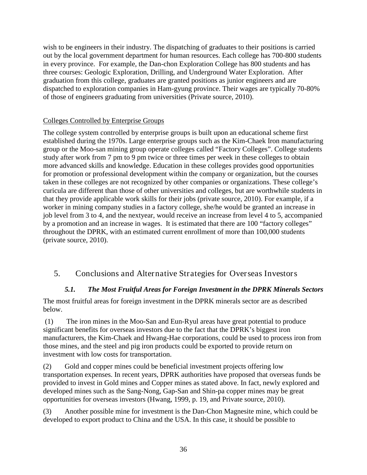wish to be engineers in their industry. The dispatching of graduates to their positions is carried out by the local government department for human resources. Each college has 700-800 students in every province. For example, the Dan-chon Exploration College has 800 students and has three courses: Geologic Exploration, Drilling, and Underground Water Exploration. After graduation from this college, graduates are granted positions as junior engineers and are dispatched to exploration companies in Ham-gyung province. Their wages are typically 70-80% of those of engineers graduating from universities (Private source, 2010).

## Colleges Controlled by Enterprise Groups

The college system controlled by enterprise groups is built upon an educational scheme first established during the 1970s. Large enterprise groups such as the Kim-Chaek Iron manufacturing group or the Moo-san mining group operate colleges called "Factory Colleges". College students study after work from 7 pm to 9 pm twice or three times per week in these colleges to obtain more advanced skills and knowledge. Education in these colleges provides good opportunities for promotion or professional development within the company or organization, but the courses taken in these colleges are not recognized by other companies or organizations. These college's curicula are different than those of other universities and colleges, but are worthwhile students in that they provide applicable work skills for their jobs (private source, 2010). For example, if a worker in mining company studies in a factory college, she/he would be granted an increase in job level from 3 to 4, and the nextyear, would receive an increase from level 4 to 5, accompanied by a promotion and an increase in wages. It is estimated that there are 100 "factory colleges" throughout the DPRK, with an estimated current enrollment of more than 100,000 students (private source, 2010).

## <span id="page-35-1"></span><span id="page-35-0"></span>5. Conclusions and Alternative Strategies for Overseas Investors

## *5.1. The Most Fruitful Areas for Foreign Investment in the DPRK Minerals Sectors*

The most fruitful areas for foreign investment in the DPRK minerals sector are as described below.

(1) The iron mines in the Moo-San and Eun-Ryul areas have great potential to produce significant benefits for overseas investors due to the fact that the DPRK's biggest iron manufacturers, the Kim-Chaek and Hwang-Hae corporations, could be used to process iron from those mines, and the steel and pig iron products could be exported to provide return on investment with low costs for transportation.

(2) Gold and copper mines could be beneficial investment projects offering low transportation expenses. In recent years, DPRK authorities have proposed that overseas funds be provided to invest in Gold mines and Copper mines as stated above. In fact, newly explored and developed mines such as the Sang-Nong, Gap-San and Shin-pa copper mines may be great opportunities for overseas investors (Hwang, 1999, p. 19, and Private source, 2010).

(3) Another possible mine for investment is the Dan-Chon Magnesite mine, which could be developed to export product to China and the USA. In this case, it should be possible to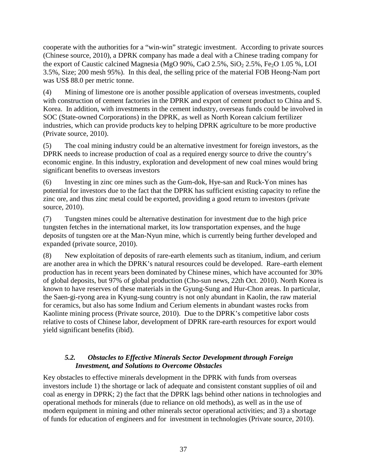cooperate with the authorities for a "win-win" strategic investment. According to private sources (Chinese source, 2010), a DPRK company has made a deal with a Chinese trading company for the export of Caustic calcined Magnesia (MgO 90%, CaO 2.5%, SiO<sub>2</sub> 2.5%, Fe<sub>2</sub>O 1.05 %, LOI 3.5%, Size; 200 mesh 95%). In this deal, the selling price of the material FOB Heong-Nam port was US\$ 88.0 per metric tonne.

(4) Mining of limestone ore is another possible application of overseas investments, coupled with construction of cement factories in the DPRK and export of cement product to China and S. Korea. In addition, with investments in the cement industry, overseas funds could be involved in SOC (State-owned Corporations) in the DPRK, as well as North Korean calcium fertilizer industries, which can provide products key to helping DPRK agriculture to be more productive (Private source, 2010).

(5) The coal mining industry could be an alternative investment for foreign investors, as the DPRK needs to increase production of coal as a required energy source to drive the country's economic engine. In this industry, exploration and development of new coal mines would bring significant benefits to overseas investors

(6) Investing in zinc ore mines such as the Gum-dok, Hye-san and Ruck-Yon mines has potential for investors due to the fact that the DPRK has sufficient existing capacity to refine the zinc ore, and thus zinc metal could be exported, providing a good return to investors (private source, 2010).

(7) Tungsten mines could be alternative destination for investment due to the high price tungsten fetches in the international market, its low transportation expenses, and the huge deposits of tungsten ore at the Man-Nyun mine, which is currently being further developed and expanded (private source, 2010).

(8) New exploitation of deposits of rare-earth elements such as titanium, indium, and cerium are another area in which the DPRK's natural resources could be developed. Rare–earth element production has in recent years been dominated by Chinese mines, which have accounted for 30% of global deposits, but 97% of global production (Cho-sun news, 22th Oct. 2010). North Korea is known to have reserves of these materials in the Gyung-Sung and Hur-Chon areas. In particular, the Saen-gi-ryong area in Kyung-sung country is not only abundant in Kaolin, the raw material for ceramics, but also has some Indium and Cerium elements in abundant wastes rocks from Kaolinte mining process (Private source, 2010). Due to the DPRK's competitive labor costs relative to costs of Chinese labor, development of DPRK rare-earth resources for export would yield significant benefits (ibid).

## <span id="page-36-0"></span>*5.2. Obstacles to Effective Minerals Sector Development through Foreign Investment, and Solutions to Overcome Obstacles*

Key obstacles to effective minerals development in the DPRK with funds from overseas investors include 1) the shortage or lack of adequate and consistent constant supplies of oil and coal as energy in DPRK; 2) the fact that the DPRK lags behind other nations in technologies and operational methods for minerals (due to reliance on old methods), as well as in the use of modern equipment in mining and other minerals sector operational activities; and 3) a shortage of funds for education of engineers and for investment in technologies (Private source, 2010).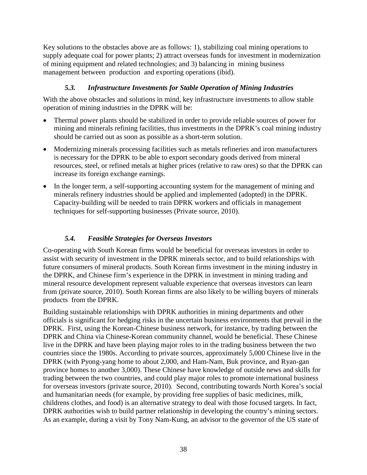Key solutions to the obstacles above are as follows: 1), stabilizing coal mining operations to supply adequate coal for power plants; 2) attract overseas funds for investment in modernization of mining equipment and related technologies; and 3) balancing in mining business management between production and exporting operations (ibid).

## *5.3. Infrastructure Investments for Stable Operation of Mining Industries*

<span id="page-37-0"></span>With the above obstacles and solutions in mind, key infrastructure investments to allow stable operation of mining industries in the DPRK will be:

- Thermal power plants should be stabilized in order to provide reliable sources of power for mining and minerals refining facilities, thus investments in the DPRK's coal mining industry should be carried out as soon as possible as a short-term solution.
- Modernizing minerals processing facilities such as metals refineries and iron manufacturers is necessary for the DPRK to be able to export secondary goods derived from mineral resources, steel, or refined metals at higher prices (relative to raw ores) so that the DPRK can increase its foreign exchange earnings.
- In the longer term, a self-supporting accounting system for the management of mining and minerals refinery industries should be applied and implemented (adopted) in the DPRK. Capacity-building will be needed to train DPRK workers and officials in management techniques for self-supporting businesses (Private source, 2010).

## *5.4. Feasible Strategies for Overseas Investors*

<span id="page-37-1"></span>Co-operating with South Korean firms would be beneficial for overseas investors in order to assist with security of investment in the DPRK minerals sector, and to build relationships with future consumers of mineral products. South Korean firms investment in the mining industry in the DPRK, and Chinese firm's experience in the DPRK in investment in mining trading and mineral resource development represent valuable experience that overseas investors can learn from (private source, 2010). South Korean firms are also likely to be willing buyers of minerals products from the DPRK.

Building sustainable relationships with DPRK authorities in mining departments and other officials is significant for hedging risks in the uncertain business environments that prevail in the DPRK. First, using the Korean-Chinese business network, for instance, by trading between the DPRK and China via Chinese-Korean community channel, would be beneficial. These Chinese live in the DPRK and have been playing major roles to in the trading business between the two countries since the 1980s. According to private sources, approximately 5,000 Chinese live in the DPRK (with Pyong-yang home to about 2,000, and Ham-Nam, Buk province, and Ryan-gan province homes to another 3,000). These Chinese have knowledge of outside news and skills for trading between the two countries, and could play major roles to promote international business for overseas investors (private source, 2010). Second, contributing towards North Korea's social and humanitarian needs (for example, by providing free supplies of basic medicines, milk, childrens clothes, and food) is an alternative strategy to deal with those focused targets. In fact, DPRK authorities wish to build partner relationship in developing the country's mining sectors. As an example, during a visit by Tony Nam-Kung, an advisor to the governor of the US state of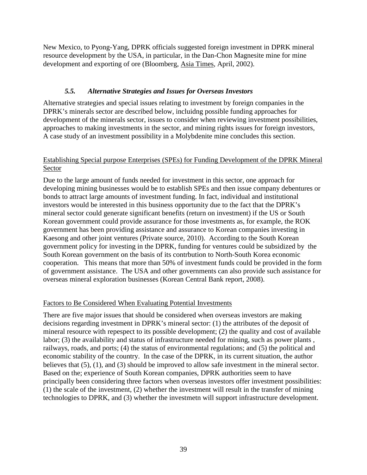New Mexico, to Pyong-Yang, DPRK officials suggested foreign investment in DPRK mineral resource development by the USA, in particular, in the Dan-Chon Magnesite mine for mine development and exporting of ore (Bloomberg, Asia Times, April, 2002).

#### *5.5. Alternative Strategies and Issues for Overseas Investors*

<span id="page-38-0"></span>Alternative strategies and special issues relating to investment by foreign companies in the DPRK's minerals sector are described below, incluidng possible funding approaches for development of the minerals sector, issues to consider when reviewing investment possibilities, approaches to making investments in the sector, and mining rights issues for foreign investors, A case study of an investment possibility in a Molybdenite mine concludes this section.

#### Establishing Special purpose Enterprises (SPEs) for Funding Development of the DPRK Mineral Sector

Due to the large amount of funds needed for investment in this sector, one approach for developing mining businesses would be to establish SPEs and then issue company debentures or bonds to attract large amounts of investment funding. In fact, individual and institutional investors would be interested in this business opportunity due to the fact that the DPRK's mineral sector could generate significant benefits (return on investment) if the US or South Korean government could provide assurance for those investments as, for example, the ROK government has been providing assistance and assurance to Korean companies investing in Kaesong and other joint ventures (Private source, 2010). According to the South Korean government policy for investing in the DPRK, funding for ventures could be subsidized by the South Korean government on the basis of its contrbution to North-South Korea economic cooperation. This means that more than 50% of investment funds could be provided in the form of government assistance. The USA and other governments can also provide such assistance for overseas mineral exploration businesses (Korean Central Bank report, 2008).

#### Factors to Be Considered When Evaluating Potential Investments

There are five major issues that should be considered when overseas investors are making decisions regarding investment in DPRK's mineral sector: (1) the attributes of the deposit of mineral resource with repespect to its possible development; (2) the quality and cost of available labor; (3) the availability and status of infrastructure needed for mining, such as power plants , railways, roads, and ports; (4) the status of environmental regulations; and (5) the political and economic stability of the country. In the case of the DPRK, in its current situation, the author believes that (5), (1), and (3) should be improved to allow safe investment in the mineral sector. Based on the; experience of South Korean companies, DPRK authorities seem to have principally been considering three factors when overseas investors offer investment possibilities: (1) the scale of the investment, (2) whether the investment will result in the transfer of mining technologies to DPRK, and (3) whether the investmetn will support infrastructure development.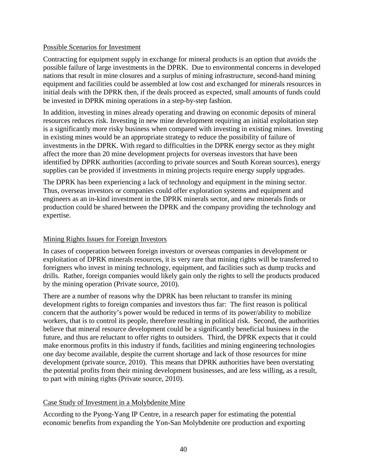#### Possible Scenarios for Investment

Contracting for equipment supply in exchange for mineral products is an option that avoids the possible failure of large investments in the DPRK. Due to environmental concerns in developed nations that result in mine closures and a surplus of mining infrastructure, second-hand mining equipment and facilities could be assembled at low cost and exchanged for minerals resources in initial deals with the DPRK then, if the deals proceed as expected, small amounts of funds could be invested in DPRK mining operations in a step-by-step fashion.

In addition, investing in mines already operating and drawing on economic deposits of mineral resources reduces risk. Investing in new mine development requiring an initial exploitation step is a significantly more risky business when compared with investing in existing mines. Investing in existing mines would be an appropriate strategy to reduce the possibility of failure of investments in the DPRK. With regard to difficulties in the DPRK energy sector as they might affect the more than 20 mine development projects for overseas investors that have been identified by DPRK authorities (according to private sources and South Korean sources), energy supplies can be provided if investments in mining projects require energy supply upgrades.

The DPRK has been experiencing a lack of technology and equipment in the mining sector. Thus, overseas investors or companies could offer exploration systems and equipment and engineers as an in-kind investment in the DPRK minerals sector, and new minerals finds or production could be shared between the DPRK and the company providing the technology and expertise.

#### Mining Rights Issues for Foreign Investors

In cases of cooperation between foreign investors or overseas companies in development or exploitation of DPRK minerals resources, it is very rare that mining rights will be transferred to foreigners who invest in mining technology, equipment, and facilities such as dump trucks and drills. Rather, foreign companies would likely gain only the rights to sell the products produced by the mining operation (Private source, 2010).

There are a number of reasons why the DPRK has been reluctant to transfer its mining development rights to foreign companies and investors thus far: The first reason is political concern that the authority's power would be reduced in terms of its power/ability to mobilize workers, that is to control its people, therefore resulting in political risk. Second, the authorities believe that mineral resource development could be a significantly beneficial business in the future, and thus are reluctant to offer rights to outsiders. Third, the DPRK expects that it could make enormous profits in this industry if funds, facilities and mining engineering technologies one day become available, despite the current shortage and lack of those resources for mine development (private source, 2010). This means that DPRK authorities have been overstating the potential profits from their mining development businesses, and are less willing, as a result, to part with mining rights (Private source, 2010).

#### Case Study of Investment in a Molybdenite Mine

According to the Pyong-Yang IP Centre, in a research paper for estimating the potential economic benefits from expanding the Yon-San Molybdenite ore production and exporting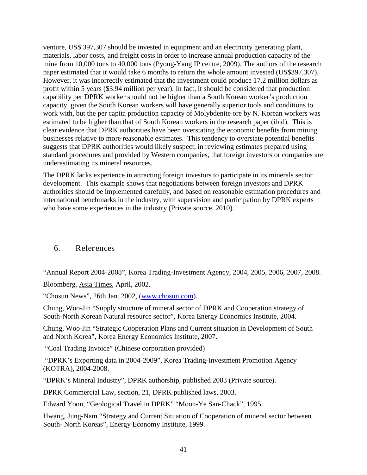venture, US\$ 397,307 should be invested in equipment and an electricity generating plant, materials, labor costs, and freight costs in order to increase annual production capacity of the mine from 10,000 tons to 40,000 tons (Pyong-Yang IP centre, 2009). The authors of the research paper estimated that it would take 6 months to return the whole amount invested (US\$397,307). However, it was incorrectly estimated that the investment could produce 17.2 million dollars as profit within 5 years (\$3.94 million per year). In fact, it should be considered that production capability per DPRK worker should not be higher than a South Korean worker's production capacity, given the South Korean workers will have generally superior tools and conditions to work with, but the per capita production capacity of Molybdenite ore by N. Korean workers was estimated to be higher than that of South Korean workers in the research paper (ibid). This is clear evidence that DPRK authorities have been overstating the economic benefits from mining businesses relative to more reasonable estimates. This tendency to overstate potential benefits suggests that DPRK authorities would likely suspect, in reviewing estimates prepared using standard procedures and provided by Western companies, that foreign investors or companies are underestimating its mineral resources.

The DPRK lacks experience in attracting foreign investors to participate in its minerals sector development. This example shows that negotiations between foreign investors and DPRK authorities should be implemented carefully, and based on reasonable estimation procedures and international benchmarks in the industry, with supervision and participation by DPRK experts who have some experiences in the industry (Private source, 2010).

## <span id="page-40-0"></span>6. References

"Annual Report 2004-2008", Korea Trading-Investment Agency, 2004, 2005, 2006, 2007, 2008. Bloomberg, Asia Times, April, 2002.

"Chosun News", 26th Jan. 2002, ([www.chosun.com\)](http://www.chosun.com/).

Chung, Woo-Jin "Supply structure of mineral sector of DPRK and Cooperation strategy of South-North Korean Natural resource sector", Korea Energy Economics Institute, 2004.

Chung, Woo-Jin "Strategic Cooperation Plans and Current situation in Development of South and North Korea", Korea Energy Economics Institute, 2007.

"Coal Trading Invoice" (Chinese corporation provided)

"DPRK's Exporting data in 2004-2009", Korea Trading-Investment Promotion Agency (KOTRA), 2004-2008.

"DPRK's Mineral Industry", DPRK authorship, published 2003 (Private source).

DPRK Commercial Law, section, 21, DPRK published laws, 2003.

Edward Yoon, "Geological Travel in DPRK" "Moon-Ye San-Chack", 1995.

Hwang, Jung-Nam "Strategy and Current Situation of Cooperation of mineral sector between South- North Koreas", Energy Economy Institute, 1999.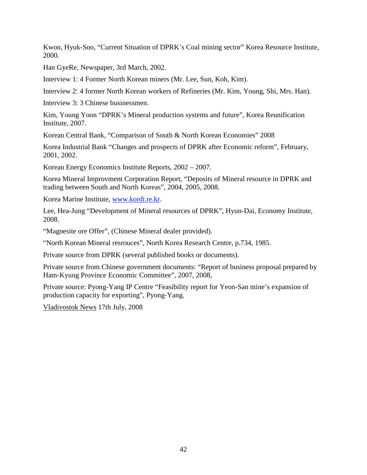Kwon, Hyuk-Soo, "Current Situation of DPRK's Coal mining sector" Korea Resource Institute, 2000.

Han GyeRe, Newspaper, 3rd March, 2002.

Interview 1: 4 Former North Korean miners (Mr. Lee, Sun, Koh, Kim).

Interview 2: 4 former North Korean workers of Refineries (Mr. Kim, Young, Shi, Mrs. Han).

Interview 3: 3 Chinese businessmen.

Kim, Young Yoon "DPRK's Mineral production systems and future", Korea Reunification Institute, 2007.

Korean Central Bank, "Comparison of South & North Korean Economies" 2008

Korea Industrial Bank "Changes and prospects of DPRK after Economic reform", February, 2001, 2002.

Korean Energy Economics Institute Reports, 2002 – 2007.

Korea Mineral Improvment Corporation Report, "Deposits of Mineral resource in DPRK and trading between South and North Koreas", 2004, 2005, 2008.

Korea Marine Institute, [www.kordi.re.kr.](http://www.kordi.re.kr/)

Lee, Hea-Jung "Development of Mineral resources of DPRK", Hyun-Dai, Economy Institute, 2008.

"Magnesite ore Offer", (Chinese Mineral dealer provided).

"North Korean Mineral resrouces", North Korea Research Centre, p.734, 1985.

Private source from DPRK (several published books or documents).

Private source from Chinese government documents: "Report of business proposal prepared by Ham-Kyung Province Economic Committee", 2007, 2008,

Private source: Pyong-Yang IP Centre "Feasibility report for Yeon-San mine's expansion of production capacity for exporting", Pyong-Yang.

Vladivostok News 17th July, 2008